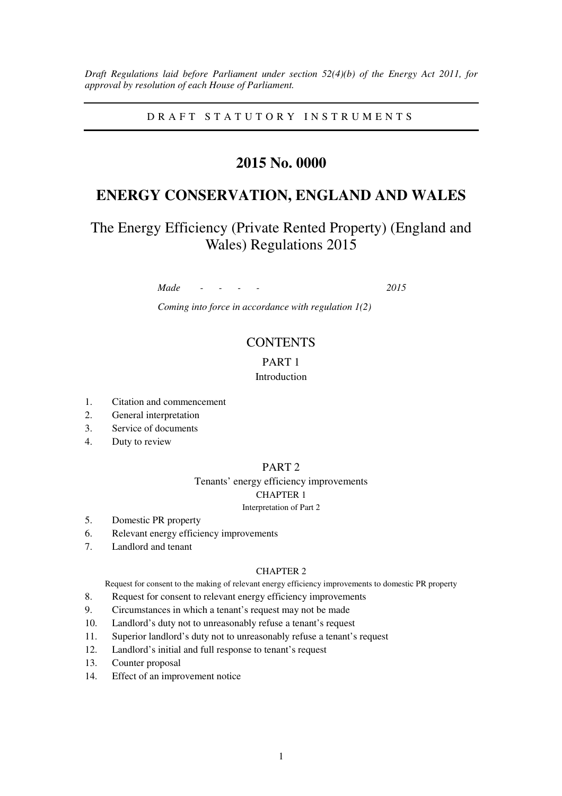*Draft Regulations laid before Parliament under section 52(4)(b) of the Energy Act 2011, for approval by resolution of each House of Parliament.*

D R A F T S T A T U T O R Y I N S T R U M E N T S

# **2015 No. 0000**

# **ENERGY CONSERVATION, ENGLAND AND WALES**

The Energy Efficiency (Private Rented Property) (England and Wales) Regulations 2015

*Made - - - - 2015* 

*Coming into force in accordance with regulation 1(2)* 

## **CONTENTS**

## PART 1

## Introduction

- 1. Citation and commencement
- 2. General interpretation
- 3. Service of documents
- 4. Duty to review

## PART 2

# Tenants' energy efficiency improvements CHAPTER 1

## Interpretation of Part 2

- 5. Domestic PR property
- 6. Relevant energy efficiency improvements
- 7. Landlord and tenant

## CHAPTER 2

Request for consent to the making of relevant energy efficiency improvements to domestic PR property

- 8. Request for consent to relevant energy efficiency improvements
- 9. Circumstances in which a tenant's request may not be made
- 10. Landlord's duty not to unreasonably refuse a tenant's request
- 11. Superior landlord's duty not to unreasonably refuse a tenant's request
- 12. Landlord's initial and full response to tenant's request
- 13. Counter proposal
- 14. Effect of an improvement notice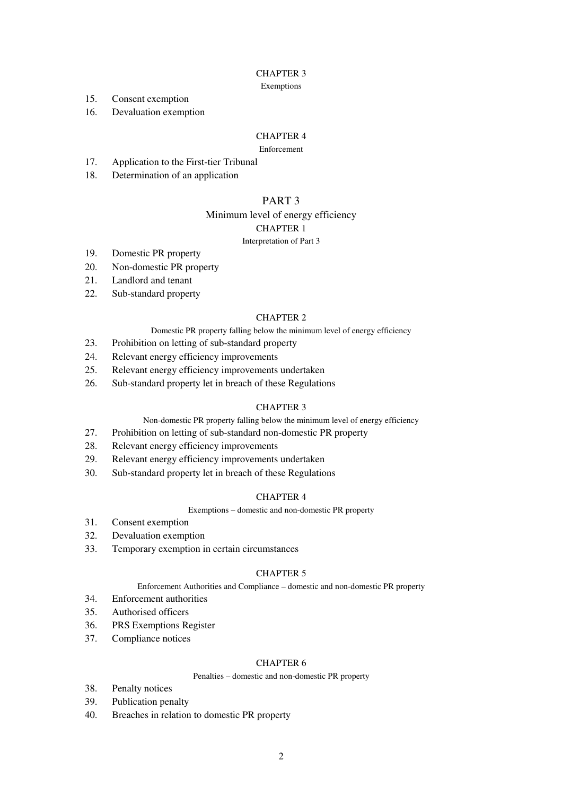## CHAPTER 3

#### Exemptions

- 15. Consent exemption
- 16. Devaluation exemption

## CHAPTER 4

## Enforcement

- 17. Application to the First-tier Tribunal
- 18. Determination of an application

## PART 3

## Minimum level of energy efficiency CHAPTER 1

#### Interpretation of Part 3

- 19. Domestic PR property
- 20. Non-domestic PR property
- 21. Landlord and tenant
- 22. Sub-standard property

## CHAPTER 2

- Domestic PR property falling below the minimum level of energy efficiency
- 23. Prohibition on letting of sub-standard property
- 24. Relevant energy efficiency improvements
- 25. Relevant energy efficiency improvements undertaken
- 26. Sub-standard property let in breach of these Regulations

## CHAPTER 3

## Non-domestic PR property falling below the minimum level of energy efficiency

- 27. Prohibition on letting of sub-standard non-domestic PR property
- 28. Relevant energy efficiency improvements
- 29. Relevant energy efficiency improvements undertaken
- 30. Sub-standard property let in breach of these Regulations

## CHAPTER 4

#### Exemptions – domestic and non-domestic PR property

- 31. Consent exemption
- 32. Devaluation exemption
- 33. Temporary exemption in certain circumstances

#### CHAPTER 5

Enforcement Authorities and Compliance – domestic and non-domestic PR property

- 34. Enforcement authorities
- 35. Authorised officers
- 36. PRS Exemptions Register
- 37. Compliance notices

#### CHAPTER 6

## Penalties – domestic and non-domestic PR property

- 38. Penalty notices
- 39. Publication penalty
- 40. Breaches in relation to domestic PR property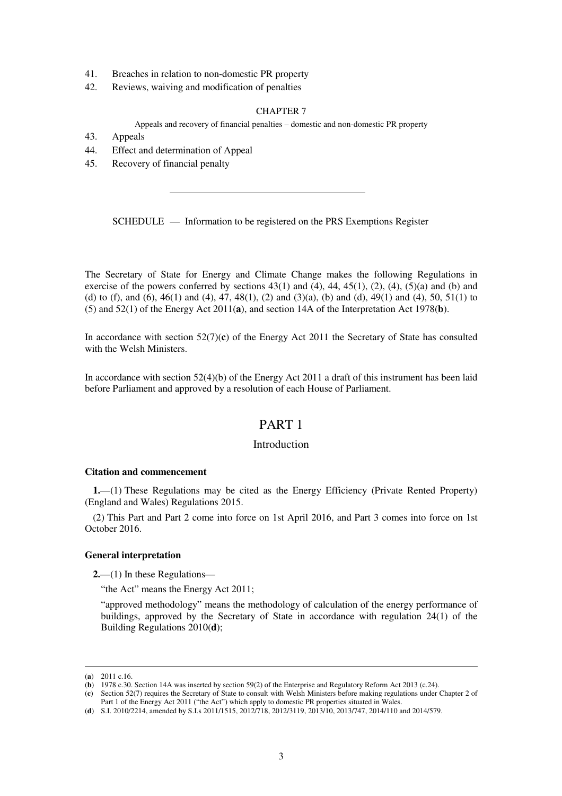- 41. Breaches in relation to non-domestic PR property
- 42. Reviews, waiving and modification of penalties

## CHAPTER 7

Appeals and recovery of financial penalties – domestic and non-domestic PR property

- 43. Appeals
- 44. Effect and determination of Appeal
- 45. Recovery of financial penalty

SCHEDULE — Information to be registered on the PRS Exemptions Register

The Secretary of State for Energy and Climate Change makes the following Regulations in exercise of the powers conferred by sections  $43(1)$  and  $(4)$ ,  $44$ ,  $45(1)$ ,  $(2)$ ,  $(4)$ ,  $(5)(a)$  and (b) and (d) to (f), and (6), 46(1) and (4), 47, 48(1), (2) and (3)(a), (b) and (d), 49(1) and (4), 50, 51(1) to (5) and 52(1) of the Energy Act 2011(**a**), and section 14A of the Interpretation Act 1978(**b**).

In accordance with section 52(7)(**c**) of the Energy Act 2011 the Secretary of State has consulted with the Welsh Ministers.

In accordance with section 52(4)(b) of the Energy Act 2011 a draft of this instrument has been laid before Parliament and approved by a resolution of each House of Parliament.

# PART 1

## Introduction

## **Citation and commencement**

**1.**—(1) These Regulations may be cited as the Energy Efficiency (Private Rented Property) (England and Wales) Regulations 2015.

(2) This Part and Part 2 come into force on 1st April 2016, and Part 3 comes into force on 1st October 2016.

## **General interpretation**

**2.**—(1) In these Regulations—

"the Act" means the Energy Act 2011;

"approved methodology" means the methodology of calculation of the energy performance of buildings, approved by the Secretary of State in accordance with regulation 24(1) of the Building Regulations 2010(**d**);

<sup>(</sup>**a**) 2011 c.16.

<sup>(</sup>**b**) 1978 c.30. Section 14A was inserted by section 59(2) of the Enterprise and Regulatory Reform Act 2013 (c.24).

<sup>(</sup>**c**) Section 52(7) requires the Secretary of State to consult with Welsh Ministers before making regulations under Chapter 2 of Part 1 of the Energy Act 2011 ("the Act") which apply to domestic PR properties situated in Wales.

<sup>(</sup>**d**) S.I. 2010/2214, amended by S.I.s 2011/1515, 2012/718, 2012/3119, 2013/10, 2013/747, 2014/110 and 2014/579.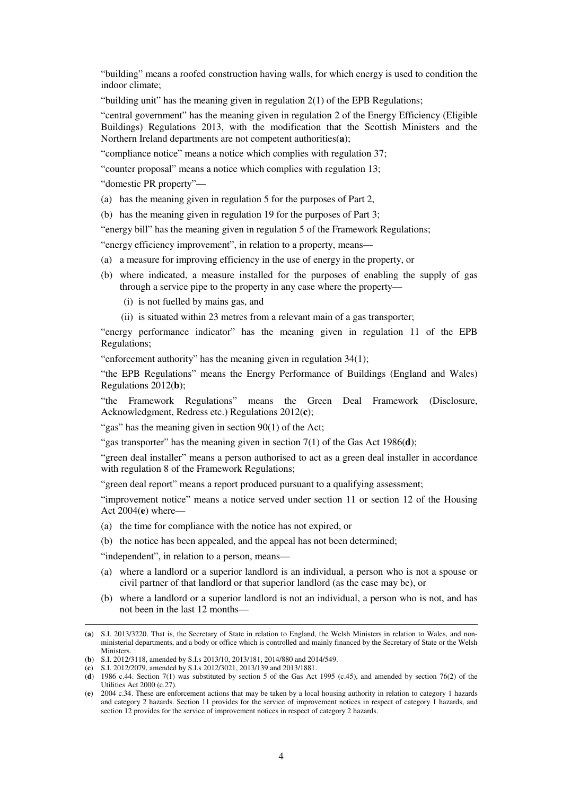"building" means a roofed construction having walls, for which energy is used to condition the indoor climate;

"building unit" has the meaning given in regulation  $2(1)$  of the EPB Regulations;

"central government" has the meaning given in regulation 2 of the Energy Efficiency (Eligible Buildings) Regulations 2013, with the modification that the Scottish Ministers and the Northern Ireland departments are not competent authorities(**a**);

"compliance notice" means a notice which complies with regulation 37;

"counter proposal" means a notice which complies with regulation 13;

"domestic PR property"—

- (a) has the meaning given in regulation 5 for the purposes of Part 2,
- (b) has the meaning given in regulation 19 for the purposes of Part 3;

"energy bill" has the meaning given in regulation 5 of the Framework Regulations;

"energy efficiency improvement", in relation to a property, means—

- (a) a measure for improving efficiency in the use of energy in the property, or
- (b) where indicated, a measure installed for the purposes of enabling the supply of gas through a service pipe to the property in any case where the property—
	- (i) is not fuelled by mains gas, and
	- (ii) is situated within 23 metres from a relevant main of a gas transporter;

"energy performance indicator" has the meaning given in regulation 11 of the EPB Regulations;

"enforcement authority" has the meaning given in regulation 34(1);

"the EPB Regulations" means the Energy Performance of Buildings (England and Wales) Regulations 2012(**b**);

"the Framework Regulations" means the Green Deal Framework (Disclosure, Acknowledgment, Redress etc.) Regulations 2012(**c**);

"gas" has the meaning given in section 90(1) of the Act;

"gas transporter" has the meaning given in section 7(1) of the Gas Act 1986(**d**);

"green deal installer" means a person authorised to act as a green deal installer in accordance with regulation 8 of the Framework Regulations;

"green deal report" means a report produced pursuant to a qualifying assessment;

"improvement notice" means a notice served under section 11 or section 12 of the Housing Act 2004(**e**) where—

- (a) the time for compliance with the notice has not expired, or
- (b) the notice has been appealed, and the appeal has not been determined;

"independent", in relation to a person, means—

- (a) where a landlord or a superior landlord is an individual, a person who is not a spouse or civil partner of that landlord or that superior landlord (as the case may be), or
- (b) where a landlord or a superior landlord is not an individual, a person who is not, and has not been in the last 12 months—

<sup>&</sup>lt;u>.</u> (**a**) S.I. 2013/3220. That is, the Secretary of State in relation to England, the Welsh Ministers in relation to Wales, and nonministerial departments, and a body or office which is controlled and mainly financed by the Secretary of State or the Welsh **Ministers**.

<sup>(</sup>**b**) S.I. 2012/3118, amended by S.I.s 2013/10, 2013/181, 2014/880 and 2014/549.

<sup>(</sup>**c**) S.I. 2012/2079, amended by S.I.s 2012/3021, 2013/139 and 2013/1881.

<sup>(</sup>**d**) 1986 c.44. Section 7(1) was substituted by section 5 of the Gas Act 1995 (c.45), and amended by section 76(2) of the Utilities Act 2000 (c.27).

<sup>(</sup>**e**) 2004 c.34. These are enforcement actions that may be taken by a local housing authority in relation to category 1 hazards and category 2 hazards. Section 11 provides for the service of improvement notices in respect of category 1 hazards, and section 12 provides for the service of improvement notices in respect of category 2 hazards.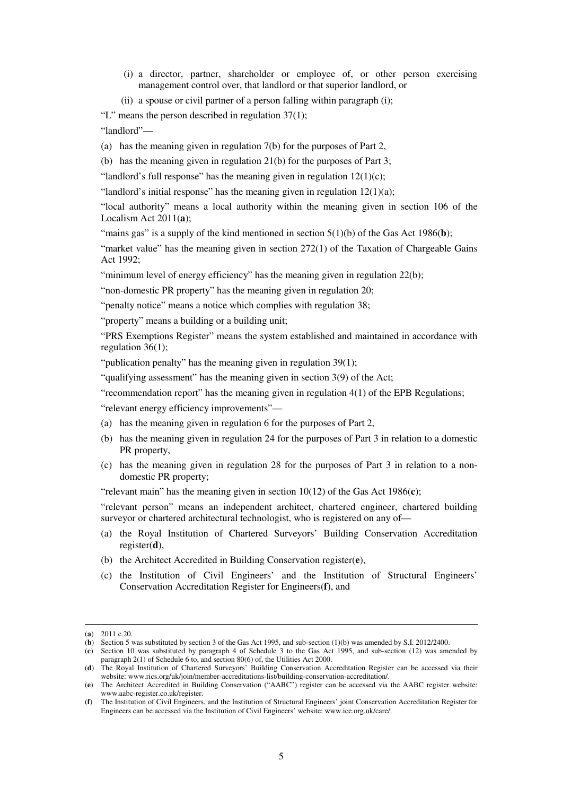- (i) a director, partner, shareholder or employee of, or other person exercising management control over, that landlord or that superior landlord, or
- (ii) a spouse or civil partner of a person falling within paragraph (i);

"L" means the person described in regulation 37(1);

"landlord"—

(a) has the meaning given in regulation 7(b) for the purposes of Part 2,

(b) has the meaning given in regulation 21(b) for the purposes of Part 3;

"landlord's full response" has the meaning given in regulation  $12(1)(c)$ ;

"landlord's initial response" has the meaning given in regulation  $12(1)(a)$ ;

"local authority" means a local authority within the meaning given in section 106 of the Localism Act 2011(**a**);

"mains gas" is a supply of the kind mentioned in section  $5(1)(b)$  of the Gas Act 1986(b);

"market value" has the meaning given in section  $272(1)$  of the Taxation of Chargeable Gains Act 1992;

"minimum level of energy efficiency" has the meaning given in regulation 22(b);

"non-domestic PR property" has the meaning given in regulation 20;

"penalty notice" means a notice which complies with regulation 38;

"property" means a building or a building unit;

"PRS Exemptions Register" means the system established and maintained in accordance with regulation 36(1);

"publication penalty" has the meaning given in regulation 39(1);

"qualifying assessment" has the meaning given in section 3(9) of the Act;

"recommendation report" has the meaning given in regulation 4(1) of the EPB Regulations;

"relevant energy efficiency improvements"—

- (a) has the meaning given in regulation 6 for the purposes of Part 2,
- (b) has the meaning given in regulation 24 for the purposes of Part 3 in relation to a domestic PR property,
- (c) has the meaning given in regulation 28 for the purposes of Part 3 in relation to a nondomestic PR property;

"relevant main" has the meaning given in section 10(12) of the Gas Act 1986(**c**);

"relevant person" means an independent architect, chartered engineer, chartered building surveyor or chartered architectural technologist, who is registered on any of-

- (a) the Royal Institution of Chartered Surveyors' Building Conservation Accreditation register(**d**),
- (b) the Architect Accredited in Building Conservation register(**e**),
- (c) the Institution of Civil Engineers' and the Institution of Structural Engineers' Conservation Accreditation Register for Engineers(**f**), and

<sup>(</sup>**a**) 2011 c.20.

<sup>(</sup>**b**) Section 5 was substituted by section 3 of the Gas Act 1995, and sub-section (1)(b) was amended by S.I. 2012/2400.

<sup>(</sup>**c**) Section 10 was substituted by paragraph 4 of Schedule 3 to the Gas Act 1995, and sub-section (12) was amended by paragraph 2(1) of Schedule 6 to, and section 80(6) of, the Utilities Act 2000.

<sup>(</sup>**d**) The Royal Institution of Chartered Surveyors' Building Conservation Accreditation Register can be accessed via their website: www.rics.org/uk/join/member-accreditations-list/building-conservation-accreditation/.

<sup>(</sup>**e**) The Architect Accredited in Building Conservation ("AABC") register can be accessed via the AABC register website: www.aabc-register.co.uk/register.

<sup>(</sup>**f**) The Institution of Civil Engineers, and the Institution of Structural Engineers' joint Conservation Accreditation Register for Engineers can be accessed via the Institution of Civil Engineers' website: www.ice.org.uk/care/.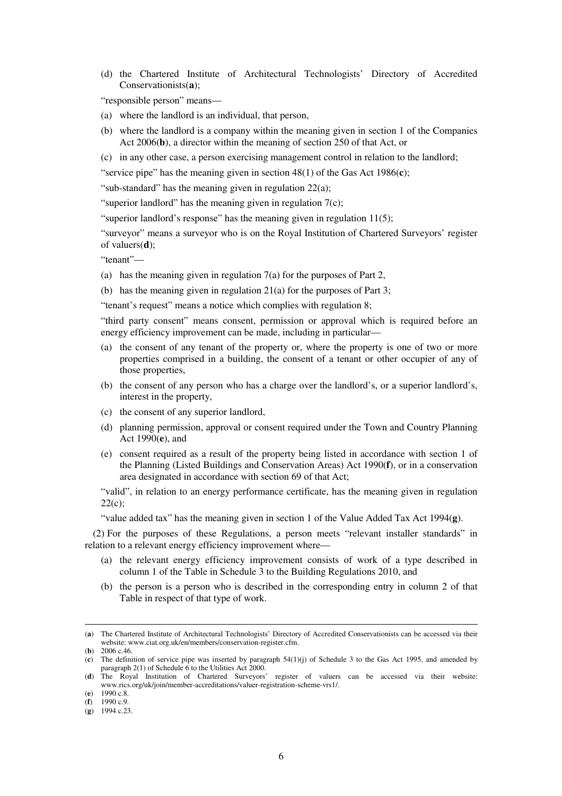(d) the Chartered Institute of Architectural Technologists' Directory of Accredited Conservationists(**a**);

"responsible person" means—

- (a) where the landlord is an individual, that person,
- (b) where the landlord is a company within the meaning given in section 1 of the Companies Act 2006(**b**), a director within the meaning of section 250 of that Act, or
- (c) in any other case, a person exercising management control in relation to the landlord;

"service pipe" has the meaning given in section 48(1) of the Gas Act 1986(**c**);

"sub-standard" has the meaning given in regulation 22(a);

"superior landlord" has the meaning given in regulation  $7(c)$ ;

"superior landlord's response" has the meaning given in regulation 11(5);

"surveyor" means a surveyor who is on the Royal Institution of Chartered Surveyors' register of valuers(**d**);

"tenant"—

- (a) has the meaning given in regulation 7(a) for the purposes of Part 2,
- (b) has the meaning given in regulation 21(a) for the purposes of Part 3;

"tenant's request" means a notice which complies with regulation 8;

"third party consent" means consent, permission or approval which is required before an energy efficiency improvement can be made, including in particular—

- (a) the consent of any tenant of the property or, where the property is one of two or more properties comprised in a building, the consent of a tenant or other occupier of any of those properties,
- (b) the consent of any person who has a charge over the landlord's, or a superior landlord's, interest in the property,
- (c) the consent of any superior landlord,
- (d) planning permission, approval or consent required under the Town and Country Planning Act 1990(**e**), and
- (e) consent required as a result of the property being listed in accordance with section 1 of the Planning (Listed Buildings and Conservation Areas) Act 1990(**f**), or in a conservation area designated in accordance with section 69 of that Act;

"valid", in relation to an energy performance certificate, has the meaning given in regulation  $22(c);$ 

"value added tax" has the meaning given in section 1 of the Value Added Tax Act 1994(**g**).

(2) For the purposes of these Regulations, a person meets "relevant installer standards" in relation to a relevant energy efficiency improvement where—

- (a) the relevant energy efficiency improvement consists of work of a type described in column 1 of the Table in Schedule 3 to the Building Regulations 2010, and
- (b) the person is a person who is described in the corresponding entry in column 2 of that Table in respect of that type of work.

<sup>(</sup>**a**) The Chartered Institute of Architectural Technologists' Directory of Accredited Conservationists can be accessed via their website: www.ciat.org.uk/en/members/conservation-register.cfm.

<sup>(</sup>**b**) 2006 c.46.

<sup>(</sup>**c**) The definition of service pipe was inserted by paragraph 54(1)(j) of Schedule 3 to the Gas Act 1995, and amended by paragraph 2(1) of Schedule  $\vec{6}$  to the Utilities Act 2000.

<sup>(</sup>**d**) The Royal Institution of Chartered Surveyors' register of valuers can be accessed via their website: www.rics.org/uk/join/member-accreditations/valuer-registration-scheme-vrs1/.

<sup>(</sup>**e**) 1990 c.8.

<sup>(</sup>**f**) 1990 c.9.

<sup>(</sup>**g**) 1994 c.23.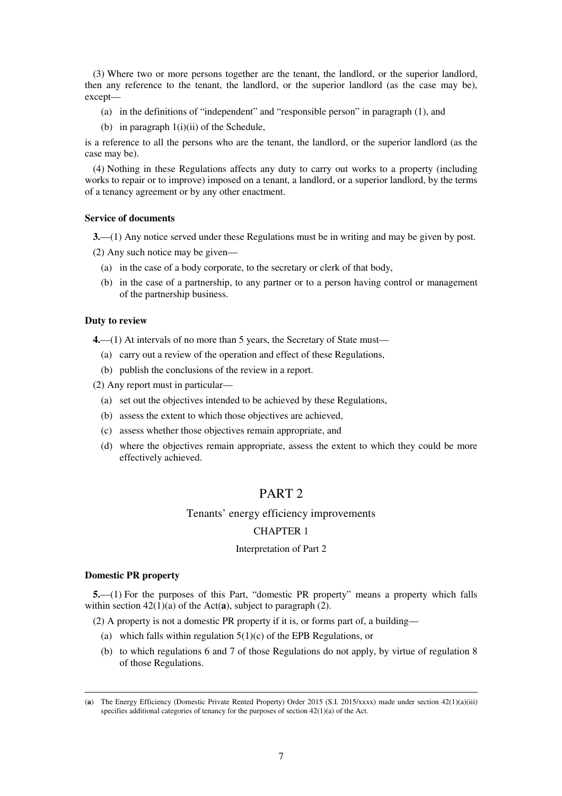(3) Where two or more persons together are the tenant, the landlord, or the superior landlord, then any reference to the tenant, the landlord, or the superior landlord (as the case may be), except—

- (a) in the definitions of "independent" and "responsible person" in paragraph (1), and
- (b) in paragraph  $1(i)(ii)$  of the Schedule,

is a reference to all the persons who are the tenant, the landlord, or the superior landlord (as the case may be).

(4) Nothing in these Regulations affects any duty to carry out works to a property (including works to repair or to improve) imposed on a tenant, a landlord, or a superior landlord, by the terms of a tenancy agreement or by any other enactment.

#### **Service of documents**

**3.**—(1) Any notice served under these Regulations must be in writing and may be given by post.

(2) Any such notice may be given—

- (a) in the case of a body corporate, to the secretary or clerk of that body,
- (b) in the case of a partnership, to any partner or to a person having control or management of the partnership business.

#### **Duty to review**

**4.**—(1) At intervals of no more than 5 years, the Secretary of State must—

- (a) carry out a review of the operation and effect of these Regulations,
- (b) publish the conclusions of the review in a report.

(2) Any report must in particular—

- (a) set out the objectives intended to be achieved by these Regulations,
- (b) assess the extent to which those objectives are achieved,
- (c) assess whether those objectives remain appropriate, and
- (d) where the objectives remain appropriate, assess the extent to which they could be more effectively achieved.

# PART 2

## Tenants' energy efficiency improvements

## CHAPTER 1

#### Interpretation of Part 2

#### **Domestic PR property**

<u>.</u>

**5.**—(1) For the purposes of this Part, "domestic PR property" means a property which falls within section 42(1)(a) of the Act(**a**), subject to paragraph (2).

(2) A property is not a domestic PR property if it is, or forms part of, a building—

- (a) which falls within regulation  $5(1)(c)$  of the EPB Regulations, or
- (b) to which regulations 6 and 7 of those Regulations do not apply, by virtue of regulation 8 of those Regulations.

<sup>(</sup>**a**) The Energy Efficiency (Domestic Private Rented Property) Order 2015 (S.I. 2015/xxxx) made under section 42(1)(a)(iii) specifies additional categories of tenancy for the purposes of section 42(1)(a) of the Act.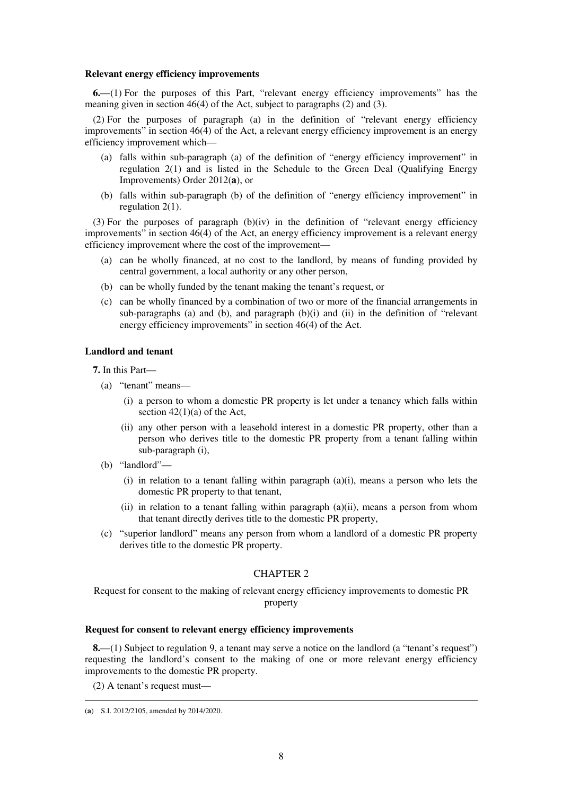#### **Relevant energy efficiency improvements**

**6.**—(1) For the purposes of this Part, "relevant energy efficiency improvements" has the meaning given in section 46(4) of the Act, subject to paragraphs (2) and (3).

(2) For the purposes of paragraph (a) in the definition of "relevant energy efficiency improvements" in section 46(4) of the Act, a relevant energy efficiency improvement is an energy efficiency improvement which—

- (a) falls within sub-paragraph (a) of the definition of "energy efficiency improvement" in regulation 2(1) and is listed in the Schedule to the Green Deal (Qualifying Energy Improvements) Order 2012(**a**), or
- (b) falls within sub-paragraph (b) of the definition of "energy efficiency improvement" in regulation 2(1).

(3) For the purposes of paragraph  $(b)(iv)$  in the definition of "relevant energy efficiency improvements" in section 46(4) of the Act, an energy efficiency improvement is a relevant energy efficiency improvement where the cost of the improvement—

- (a) can be wholly financed, at no cost to the landlord, by means of funding provided by central government, a local authority or any other person,
- (b) can be wholly funded by the tenant making the tenant's request, or
- (c) can be wholly financed by a combination of two or more of the financial arrangements in sub-paragraphs (a) and (b), and paragraph  $(b)(i)$  and  $(ii)$  in the definition of "relevant energy efficiency improvements" in section 46(4) of the Act.

## **Landlord and tenant**

**7.** In this Part—

- (a) "tenant" means—
	- (i) a person to whom a domestic PR property is let under a tenancy which falls within section  $42(1)(a)$  of the Act,
	- (ii) any other person with a leasehold interest in a domestic PR property, other than a person who derives title to the domestic PR property from a tenant falling within sub-paragraph (i),
- (b) "landlord"—
	- (i) in relation to a tenant falling within paragraph (a)(i), means a person who lets the domestic PR property to that tenant,
	- (ii) in relation to a tenant falling within paragraph (a)(ii), means a person from whom that tenant directly derives title to the domestic PR property,
- (c) "superior landlord" means any person from whom a landlord of a domestic PR property derives title to the domestic PR property.

## CHAPTER 2

Request for consent to the making of relevant energy efficiency improvements to domestic PR property

#### **Request for consent to relevant energy efficiency improvements**

**8.**—(1) Subject to regulation 9, a tenant may serve a notice on the landlord (a "tenant's request") requesting the landlord's consent to the making of one or more relevant energy efficiency improvements to the domestic PR property.

(2) A tenant's request must—

<sup>&</sup>lt;u>.</u> (**a**) S.I. 2012/2105, amended by 2014/2020.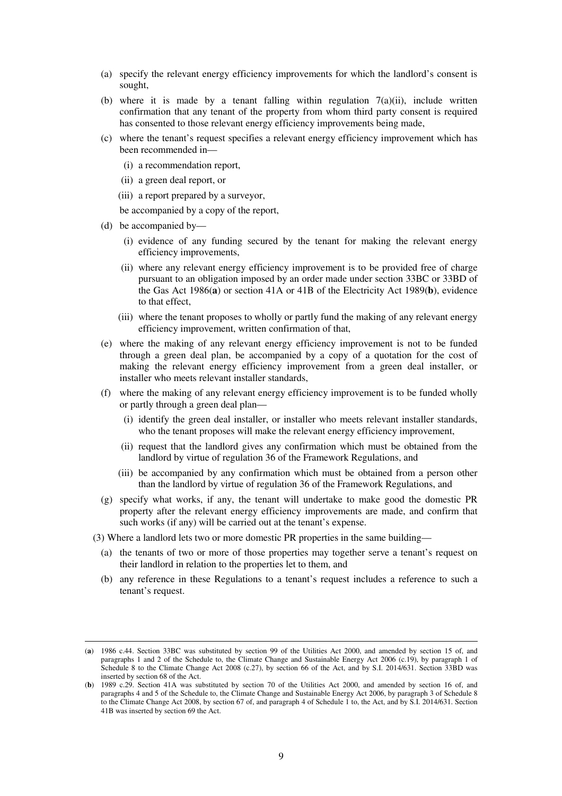- (a) specify the relevant energy efficiency improvements for which the landlord's consent is sought,
- (b) where it is made by a tenant falling within regulation  $7(a)(ii)$ , include written confirmation that any tenant of the property from whom third party consent is required has consented to those relevant energy efficiency improvements being made,
- (c) where the tenant's request specifies a relevant energy efficiency improvement which has been recommended in—
	- (i) a recommendation report,
	- (ii) a green deal report, or
	- (iii) a report prepared by a surveyor,

be accompanied by a copy of the report,

(d) be accompanied by—

- (i) evidence of any funding secured by the tenant for making the relevant energy efficiency improvements,
- (ii) where any relevant energy efficiency improvement is to be provided free of charge pursuant to an obligation imposed by an order made under section 33BC or 33BD of the Gas Act 1986(**a**) or section 41A or 41B of the Electricity Act 1989(**b**), evidence to that effect,
- (iii) where the tenant proposes to wholly or partly fund the making of any relevant energy efficiency improvement, written confirmation of that,
- (e) where the making of any relevant energy efficiency improvement is not to be funded through a green deal plan, be accompanied by a copy of a quotation for the cost of making the relevant energy efficiency improvement from a green deal installer, or installer who meets relevant installer standards,
- (f) where the making of any relevant energy efficiency improvement is to be funded wholly or partly through a green deal plan—
	- (i) identify the green deal installer, or installer who meets relevant installer standards, who the tenant proposes will make the relevant energy efficiency improvement,
	- (ii) request that the landlord gives any confirmation which must be obtained from the landlord by virtue of regulation 36 of the Framework Regulations, and
	- (iii) be accompanied by any confirmation which must be obtained from a person other than the landlord by virtue of regulation 36 of the Framework Regulations, and
- (g) specify what works, if any, the tenant will undertake to make good the domestic PR property after the relevant energy efficiency improvements are made, and confirm that such works (if any) will be carried out at the tenant's expense.
- (3) Where a landlord lets two or more domestic PR properties in the same building—
	- (a) the tenants of two or more of those properties may together serve a tenant's request on their landlord in relation to the properties let to them, and
	- (b) any reference in these Regulations to a tenant's request includes a reference to such a tenant's request.

<sup>(</sup>**a**) 1986 c.44. Section 33BC was substituted by section 99 of the Utilities Act 2000, and amended by section 15 of, and paragraphs 1 and 2 of the Schedule to, the Climate Change and Sustainable Energy Act 2006 (c.19), by paragraph 1 of Schedule 8 to the Climate Change Act 2008 (c.27), by section 66 of the Act, and by S.I. 2014/631. Section 33BD was inserted by section 68 of the Act.

<sup>(</sup>**b**) 1989 c.29. Section 41A was substituted by section 70 of the Utilities Act 2000, and amended by section 16 of, and paragraphs 4 and 5 of the Schedule to, the Climate Change and Sustainable Energy Act 2006, by paragraph 3 of Schedule 8 to the Climate Change Act 2008, by section 67 of, and paragraph 4 of Schedule 1 to, the Act, and by S.I. 2014/631. Section 41B was inserted by section 69 the Act.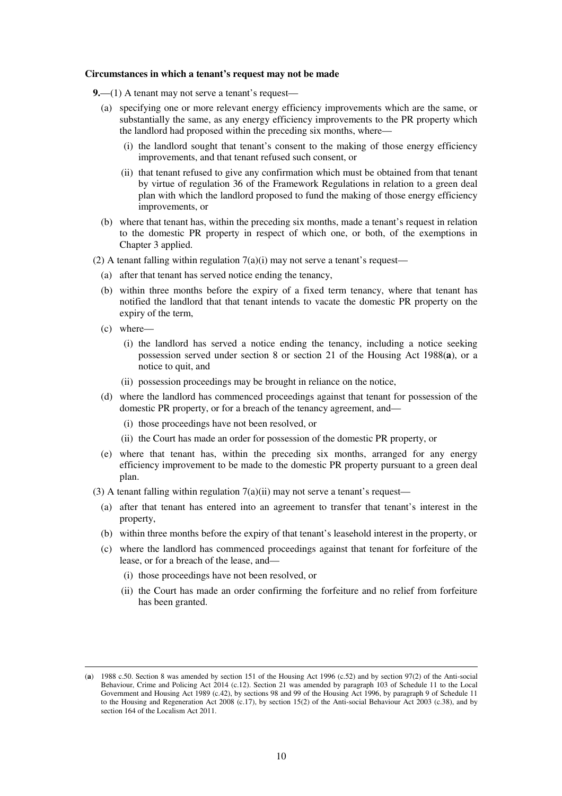#### **Circumstances in which a tenant's request may not be made**

- **9.**—(1) A tenant may not serve a tenant's request—
	- (a) specifying one or more relevant energy efficiency improvements which are the same, or substantially the same, as any energy efficiency improvements to the PR property which the landlord had proposed within the preceding six months, where—
		- (i) the landlord sought that tenant's consent to the making of those energy efficiency improvements, and that tenant refused such consent, or
		- (ii) that tenant refused to give any confirmation which must be obtained from that tenant by virtue of regulation 36 of the Framework Regulations in relation to a green deal plan with which the landlord proposed to fund the making of those energy efficiency improvements, or
	- (b) where that tenant has, within the preceding six months, made a tenant's request in relation to the domestic PR property in respect of which one, or both, of the exemptions in Chapter 3 applied.
- (2) A tenant falling within regulation  $7(a)(i)$  may not serve a tenant's request—
	- (a) after that tenant has served notice ending the tenancy,
	- (b) within three months before the expiry of a fixed term tenancy, where that tenant has notified the landlord that that tenant intends to vacate the domestic PR property on the expiry of the term,
	- (c) where—

- (i) the landlord has served a notice ending the tenancy, including a notice seeking possession served under section 8 or section 21 of the Housing Act 1988(**a**), or a notice to quit, and
- (ii) possession proceedings may be brought in reliance on the notice,
- (d) where the landlord has commenced proceedings against that tenant for possession of the domestic PR property, or for a breach of the tenancy agreement, and—
	- (i) those proceedings have not been resolved, or
	- (ii) the Court has made an order for possession of the domestic PR property, or
- (e) where that tenant has, within the preceding six months, arranged for any energy efficiency improvement to be made to the domestic PR property pursuant to a green deal plan.
- (3) A tenant falling within regulation  $7(a)(ii)$  may not serve a tenant's request—
	- (a) after that tenant has entered into an agreement to transfer that tenant's interest in the property,
	- (b) within three months before the expiry of that tenant's leasehold interest in the property, or
	- (c) where the landlord has commenced proceedings against that tenant for forfeiture of the lease, or for a breach of the lease, and—
		- (i) those proceedings have not been resolved, or
		- (ii) the Court has made an order confirming the forfeiture and no relief from forfeiture has been granted.

<sup>(</sup>**a**) 1988 c.50. Section 8 was amended by section 151 of the Housing Act 1996 (c.52) and by section 97(2) of the Anti-social Behaviour, Crime and Policing Act 2014 (c.12). Section 21 was amended by paragraph 103 of Schedule 11 to the Local Government and Housing Act 1989 (c.42), by sections 98 and 99 of the Housing Act 1996, by paragraph 9 of Schedule 11 to the Housing and Regeneration Act 2008 (c.17), by section 15(2) of the Anti-social Behaviour Act 2003 (c.38), and by section 164 of the Localism Act 2011.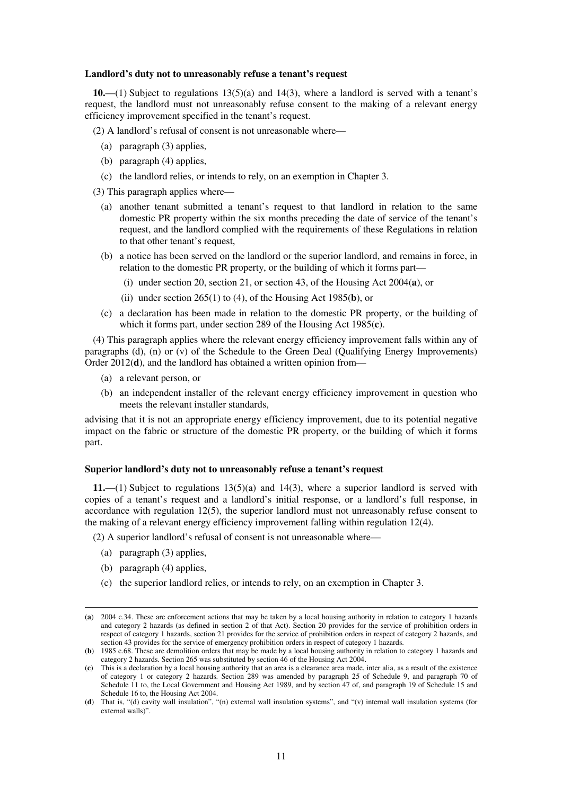#### **Landlord's duty not to unreasonably refuse a tenant's request**

**10.**—(1) Subject to regulations 13(5)(a) and 14(3), where a landlord is served with a tenant's request, the landlord must not unreasonably refuse consent to the making of a relevant energy efficiency improvement specified in the tenant's request.

(2) A landlord's refusal of consent is not unreasonable where—

- (a) paragraph (3) applies,
- (b) paragraph (4) applies,
- (c) the landlord relies, or intends to rely, on an exemption in Chapter 3.

(3) This paragraph applies where—

- (a) another tenant submitted a tenant's request to that landlord in relation to the same domestic PR property within the six months preceding the date of service of the tenant's request, and the landlord complied with the requirements of these Regulations in relation to that other tenant's request,
- (b) a notice has been served on the landlord or the superior landlord, and remains in force, in relation to the domestic PR property, or the building of which it forms part—
	- (i) under section 20, section 21, or section 43, of the Housing Act 2004(**a**), or
	- (ii) under section 265(1) to (4), of the Housing Act 1985(**b**), or
- (c) a declaration has been made in relation to the domestic PR property, or the building of which it forms part, under section 289 of the Housing Act 1985(**c**).

(4) This paragraph applies where the relevant energy efficiency improvement falls within any of paragraphs (d), (n) or (v) of the Schedule to the Green Deal (Qualifying Energy Improvements) Order 2012(**d**), and the landlord has obtained a written opinion from—

- (a) a relevant person, or
- (b) an independent installer of the relevant energy efficiency improvement in question who meets the relevant installer standards,

advising that it is not an appropriate energy efficiency improvement, due to its potential negative impact on the fabric or structure of the domestic PR property, or the building of which it forms part.

### **Superior landlord's duty not to unreasonably refuse a tenant's request**

**11.**—(1) Subject to regulations 13(5)(a) and 14(3), where a superior landlord is served with copies of a tenant's request and a landlord's initial response, or a landlord's full response, in accordance with regulation 12(5), the superior landlord must not unreasonably refuse consent to the making of a relevant energy efficiency improvement falling within regulation 12(4).

(2) A superior landlord's refusal of consent is not unreasonable where—

- (a) paragraph (3) applies,
- (b) paragraph (4) applies,

<u>.</u>

(c) the superior landlord relies, or intends to rely, on an exemption in Chapter 3.

<sup>(</sup>**a**) 2004 c.34. These are enforcement actions that may be taken by a local housing authority in relation to category 1 hazards and category 2 hazards (as defined in section 2 of that Act). Section 20 provides for the service of prohibition orders in respect of category 1 hazards, section 21 provides for the service of prohibition orders in respect of category 2 hazards, and section 43 provides for the service of emergency prohibition orders in respect of category 1 hazards.

<sup>(</sup>**b**) 1985 c.68. These are demolition orders that may be made by a local housing authority in relation to category 1 hazards and category 2 hazards. Section 265 was substituted by section 46 of the Housing Act 2004.

<sup>(</sup>**c**) This is a declaration by a local housing authority that an area is a clearance area made, inter alia, as a result of the existence of category 1 or category 2 hazards. Section 289 was amended by paragraph 25 of Schedule 9, and paragraph 70 of Schedule 11 to, the Local Government and Housing Act 1989, and by section 47 of, and paragraph 19 of Schedule 15 and Schedule 16 to, the Housing Act 2004.

<sup>(</sup>**d**) That is, "(d) cavity wall insulation", "(n) external wall insulation systems", and "(v) internal wall insulation systems (for external walls)".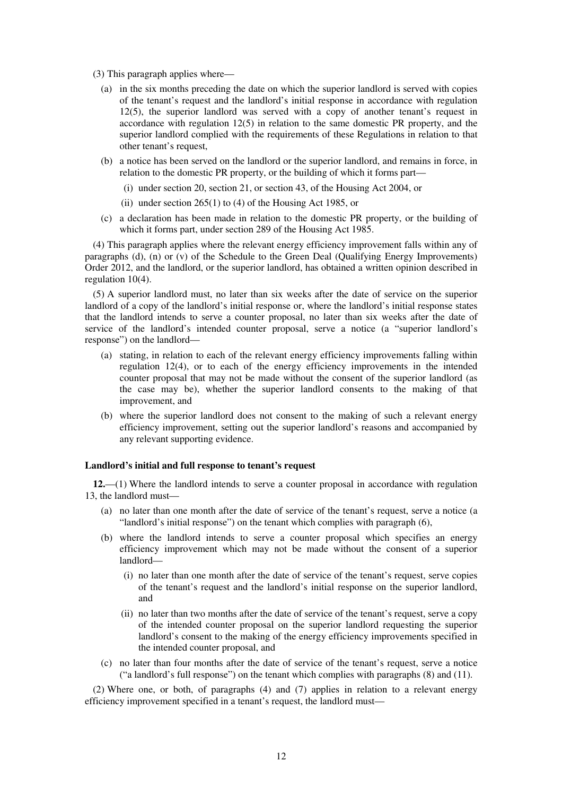- (3) This paragraph applies where—
	- (a) in the six months preceding the date on which the superior landlord is served with copies of the tenant's request and the landlord's initial response in accordance with regulation 12(5), the superior landlord was served with a copy of another tenant's request in accordance with regulation 12(5) in relation to the same domestic PR property, and the superior landlord complied with the requirements of these Regulations in relation to that other tenant's request,
	- (b) a notice has been served on the landlord or the superior landlord, and remains in force, in relation to the domestic PR property, or the building of which it forms part—
		- (i) under section 20, section 21, or section 43, of the Housing Act 2004, or
		- (ii) under section  $265(1)$  to (4) of the Housing Act 1985, or
	- (c) a declaration has been made in relation to the domestic PR property, or the building of which it forms part, under section 289 of the Housing Act 1985.

(4) This paragraph applies where the relevant energy efficiency improvement falls within any of paragraphs (d), (n) or (v) of the Schedule to the Green Deal (Qualifying Energy Improvements) Order 2012, and the landlord, or the superior landlord, has obtained a written opinion described in regulation 10(4).

(5) A superior landlord must, no later than six weeks after the date of service on the superior landlord of a copy of the landlord's initial response or, where the landlord's initial response states that the landlord intends to serve a counter proposal, no later than six weeks after the date of service of the landlord's intended counter proposal, serve a notice (a "superior landlord's response") on the landlord—

- (a) stating, in relation to each of the relevant energy efficiency improvements falling within regulation 12(4), or to each of the energy efficiency improvements in the intended counter proposal that may not be made without the consent of the superior landlord (as the case may be), whether the superior landlord consents to the making of that improvement, and
- (b) where the superior landlord does not consent to the making of such a relevant energy efficiency improvement, setting out the superior landlord's reasons and accompanied by any relevant supporting evidence.

#### **Landlord's initial and full response to tenant's request**

**12.**—(1) Where the landlord intends to serve a counter proposal in accordance with regulation 13, the landlord must—

- (a) no later than one month after the date of service of the tenant's request, serve a notice (a "landlord's initial response") on the tenant which complies with paragraph (6),
- (b) where the landlord intends to serve a counter proposal which specifies an energy efficiency improvement which may not be made without the consent of a superior landlord—
	- (i) no later than one month after the date of service of the tenant's request, serve copies of the tenant's request and the landlord's initial response on the superior landlord, and
	- (ii) no later than two months after the date of service of the tenant's request, serve a copy of the intended counter proposal on the superior landlord requesting the superior landlord's consent to the making of the energy efficiency improvements specified in the intended counter proposal, and
- (c) no later than four months after the date of service of the tenant's request, serve a notice ("a landlord's full response") on the tenant which complies with paragraphs (8) and (11).

(2) Where one, or both, of paragraphs (4) and (7) applies in relation to a relevant energy efficiency improvement specified in a tenant's request, the landlord must—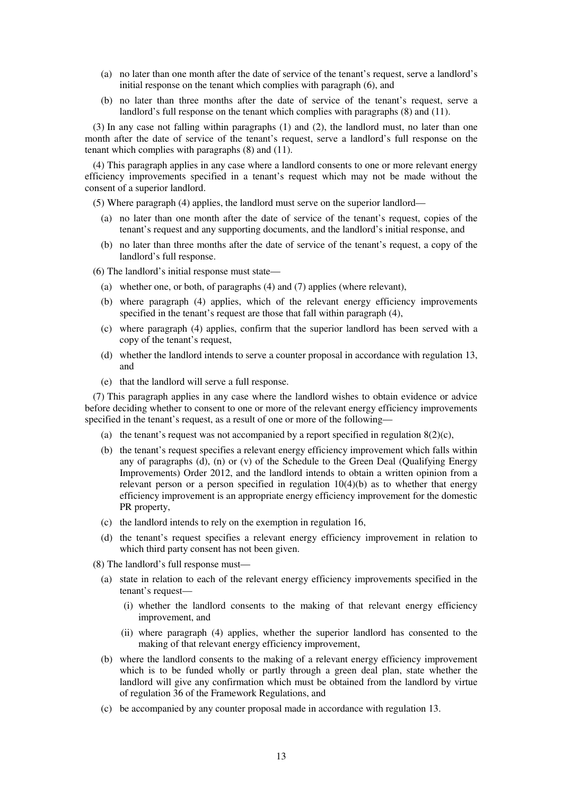- (a) no later than one month after the date of service of the tenant's request, serve a landlord's initial response on the tenant which complies with paragraph (6), and
- (b) no later than three months after the date of service of the tenant's request, serve a landlord's full response on the tenant which complies with paragraphs (8) and (11).

(3) In any case not falling within paragraphs (1) and (2), the landlord must, no later than one month after the date of service of the tenant's request, serve a landlord's full response on the tenant which complies with paragraphs  $(8)$  and  $(11)$ .

(4) This paragraph applies in any case where a landlord consents to one or more relevant energy efficiency improvements specified in a tenant's request which may not be made without the consent of a superior landlord.

(5) Where paragraph (4) applies, the landlord must serve on the superior landlord—

- (a) no later than one month after the date of service of the tenant's request, copies of the tenant's request and any supporting documents, and the landlord's initial response, and
- (b) no later than three months after the date of service of the tenant's request, a copy of the landlord's full response.

(6) The landlord's initial response must state—

- (a) whether one, or both, of paragraphs (4) and (7) applies (where relevant),
- (b) where paragraph (4) applies, which of the relevant energy efficiency improvements specified in the tenant's request are those that fall within paragraph (4),
- (c) where paragraph (4) applies, confirm that the superior landlord has been served with a copy of the tenant's request,
- (d) whether the landlord intends to serve a counter proposal in accordance with regulation 13, and
- (e) that the landlord will serve a full response.

(7) This paragraph applies in any case where the landlord wishes to obtain evidence or advice before deciding whether to consent to one or more of the relevant energy efficiency improvements specified in the tenant's request, as a result of one or more of the following—

- (a) the tenant's request was not accompanied by a report specified in regulation  $8(2)(c)$ ,
- (b) the tenant's request specifies a relevant energy efficiency improvement which falls within any of paragraphs (d), (n) or (v) of the Schedule to the Green Deal (Qualifying Energy Improvements) Order 2012, and the landlord intends to obtain a written opinion from a relevant person or a person specified in regulation  $10(4)(b)$  as to whether that energy efficiency improvement is an appropriate energy efficiency improvement for the domestic PR property,
- (c) the landlord intends to rely on the exemption in regulation 16,
- (d) the tenant's request specifies a relevant energy efficiency improvement in relation to which third party consent has not been given.
- (8) The landlord's full response must—
	- (a) state in relation to each of the relevant energy efficiency improvements specified in the tenant's request—
		- (i) whether the landlord consents to the making of that relevant energy efficiency improvement, and
		- (ii) where paragraph (4) applies, whether the superior landlord has consented to the making of that relevant energy efficiency improvement,
	- (b) where the landlord consents to the making of a relevant energy efficiency improvement which is to be funded wholly or partly through a green deal plan, state whether the landlord will give any confirmation which must be obtained from the landlord by virtue of regulation 36 of the Framework Regulations, and
	- (c) be accompanied by any counter proposal made in accordance with regulation 13.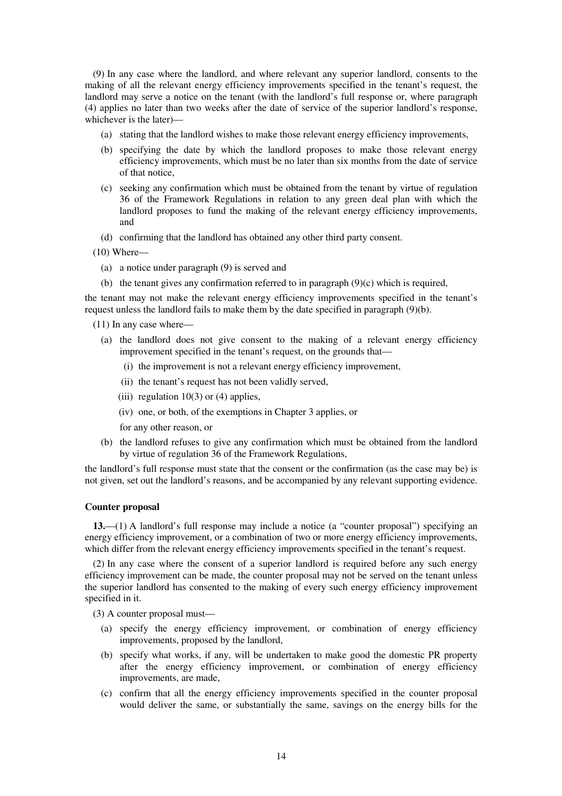(9) In any case where the landlord, and where relevant any superior landlord, consents to the making of all the relevant energy efficiency improvements specified in the tenant's request, the landlord may serve a notice on the tenant (with the landlord's full response or, where paragraph (4) applies no later than two weeks after the date of service of the superior landlord's response, whichever is the later)—

- (a) stating that the landlord wishes to make those relevant energy efficiency improvements,
- (b) specifying the date by which the landlord proposes to make those relevant energy efficiency improvements, which must be no later than six months from the date of service of that notice,
- (c) seeking any confirmation which must be obtained from the tenant by virtue of regulation 36 of the Framework Regulations in relation to any green deal plan with which the landlord proposes to fund the making of the relevant energy efficiency improvements, and
- (d) confirming that the landlord has obtained any other third party consent.
- (10) Where—
	- (a) a notice under paragraph (9) is served and
	- (b) the tenant gives any confirmation referred to in paragraph (9)(c) which is required,

the tenant may not make the relevant energy efficiency improvements specified in the tenant's request unless the landlord fails to make them by the date specified in paragraph (9)(b).

- (11) In any case where—
	- (a) the landlord does not give consent to the making of a relevant energy efficiency improvement specified in the tenant's request, on the grounds that—
		- (i) the improvement is not a relevant energy efficiency improvement,
		- (ii) the tenant's request has not been validly served,
		- (iii) regulation  $10(3)$  or (4) applies,
		- (iv) one, or both, of the exemptions in Chapter 3 applies, or
		- for any other reason, or
	- (b) the landlord refuses to give any confirmation which must be obtained from the landlord by virtue of regulation 36 of the Framework Regulations,

the landlord's full response must state that the consent or the confirmation (as the case may be) is not given, set out the landlord's reasons, and be accompanied by any relevant supporting evidence.

#### **Counter proposal**

**13.**—(1) A landlord's full response may include a notice (a "counter proposal") specifying an energy efficiency improvement, or a combination of two or more energy efficiency improvements, which differ from the relevant energy efficiency improvements specified in the tenant's request.

(2) In any case where the consent of a superior landlord is required before any such energy efficiency improvement can be made, the counter proposal may not be served on the tenant unless the superior landlord has consented to the making of every such energy efficiency improvement specified in it.

(3) A counter proposal must—

- (a) specify the energy efficiency improvement, or combination of energy efficiency improvements, proposed by the landlord,
- (b) specify what works, if any, will be undertaken to make good the domestic PR property after the energy efficiency improvement, or combination of energy efficiency improvements, are made,
- (c) confirm that all the energy efficiency improvements specified in the counter proposal would deliver the same, or substantially the same, savings on the energy bills for the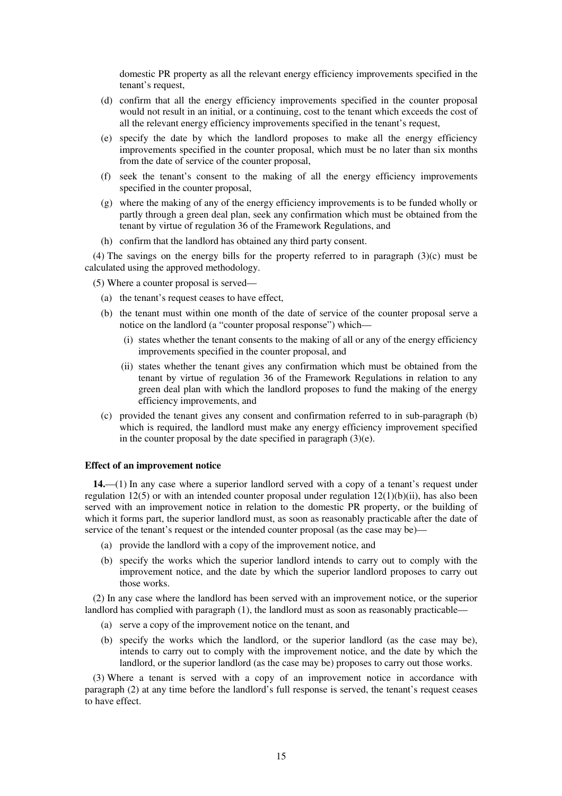domestic PR property as all the relevant energy efficiency improvements specified in the tenant's request,

- (d) confirm that all the energy efficiency improvements specified in the counter proposal would not result in an initial, or a continuing, cost to the tenant which exceeds the cost of all the relevant energy efficiency improvements specified in the tenant's request,
- (e) specify the date by which the landlord proposes to make all the energy efficiency improvements specified in the counter proposal, which must be no later than six months from the date of service of the counter proposal,
- (f) seek the tenant's consent to the making of all the energy efficiency improvements specified in the counter proposal,
- (g) where the making of any of the energy efficiency improvements is to be funded wholly or partly through a green deal plan, seek any confirmation which must be obtained from the tenant by virtue of regulation 36 of the Framework Regulations, and
- (h) confirm that the landlord has obtained any third party consent.

(4) The savings on the energy bills for the property referred to in paragraph (3)(c) must be calculated using the approved methodology.

(5) Where a counter proposal is served—

- (a) the tenant's request ceases to have effect,
- (b) the tenant must within one month of the date of service of the counter proposal serve a notice on the landlord (a "counter proposal response") which—
	- (i) states whether the tenant consents to the making of all or any of the energy efficiency improvements specified in the counter proposal, and
	- (ii) states whether the tenant gives any confirmation which must be obtained from the tenant by virtue of regulation 36 of the Framework Regulations in relation to any green deal plan with which the landlord proposes to fund the making of the energy efficiency improvements, and
- (c) provided the tenant gives any consent and confirmation referred to in sub-paragraph (b) which is required, the landlord must make any energy efficiency improvement specified in the counter proposal by the date specified in paragraph (3)(e).

#### **Effect of an improvement notice**

**14.**—(1) In any case where a superior landlord served with a copy of a tenant's request under regulation 12(5) or with an intended counter proposal under regulation 12(1)(b)(ii), has also been served with an improvement notice in relation to the domestic PR property, or the building of which it forms part, the superior landlord must, as soon as reasonably practicable after the date of service of the tenant's request or the intended counter proposal (as the case may be)—

- (a) provide the landlord with a copy of the improvement notice, and
- (b) specify the works which the superior landlord intends to carry out to comply with the improvement notice, and the date by which the superior landlord proposes to carry out those works.

(2) In any case where the landlord has been served with an improvement notice, or the superior landlord has complied with paragraph (1), the landlord must as soon as reasonably practicable—

- (a) serve a copy of the improvement notice on the tenant, and
- (b) specify the works which the landlord, or the superior landlord (as the case may be), intends to carry out to comply with the improvement notice, and the date by which the landlord, or the superior landlord (as the case may be) proposes to carry out those works.

(3) Where a tenant is served with a copy of an improvement notice in accordance with paragraph (2) at any time before the landlord's full response is served, the tenant's request ceases to have effect.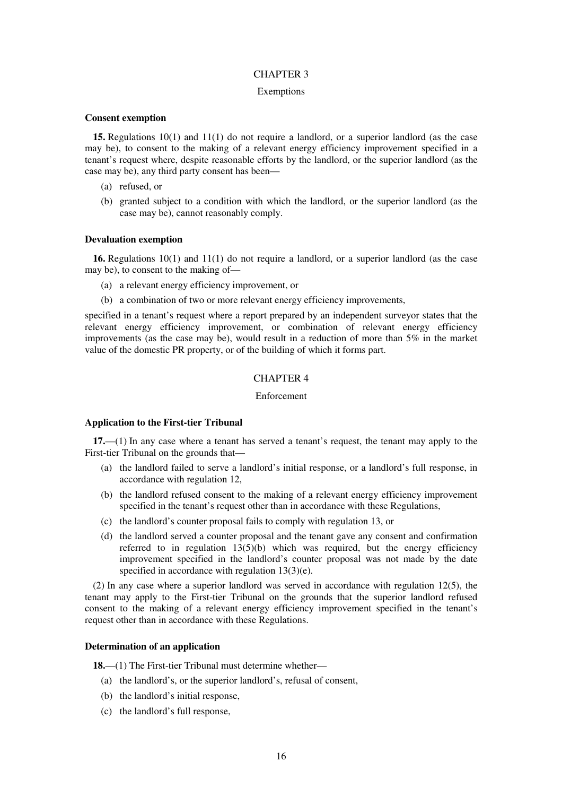#### CHAPTER 3

#### Exemptions

#### **Consent exemption**

**15.** Regulations 10(1) and 11(1) do not require a landlord, or a superior landlord (as the case may be), to consent to the making of a relevant energy efficiency improvement specified in a tenant's request where, despite reasonable efforts by the landlord, or the superior landlord (as the case may be), any third party consent has been—

- (a) refused, or
- (b) granted subject to a condition with which the landlord, or the superior landlord (as the case may be), cannot reasonably comply.

#### **Devaluation exemption**

**16.** Regulations 10(1) and 11(1) do not require a landlord, or a superior landlord (as the case may be), to consent to the making of—

- (a) a relevant energy efficiency improvement, or
- (b) a combination of two or more relevant energy efficiency improvements,

specified in a tenant's request where a report prepared by an independent surveyor states that the relevant energy efficiency improvement, or combination of relevant energy efficiency improvements (as the case may be), would result in a reduction of more than 5% in the market value of the domestic PR property, or of the building of which it forms part.

## CHAPTER 4

#### Enforcement

#### **Application to the First-tier Tribunal**

**17.**—(1) In any case where a tenant has served a tenant's request, the tenant may apply to the First-tier Tribunal on the grounds that—

- (a) the landlord failed to serve a landlord's initial response, or a landlord's full response, in accordance with regulation 12,
- (b) the landlord refused consent to the making of a relevant energy efficiency improvement specified in the tenant's request other than in accordance with these Regulations,
- (c) the landlord's counter proposal fails to comply with regulation 13, or
- (d) the landlord served a counter proposal and the tenant gave any consent and confirmation referred to in regulation  $13(5)(b)$  which was required, but the energy efficiency improvement specified in the landlord's counter proposal was not made by the date specified in accordance with regulation 13(3)(e).

(2) In any case where a superior landlord was served in accordance with regulation 12(5), the tenant may apply to the First-tier Tribunal on the grounds that the superior landlord refused consent to the making of a relevant energy efficiency improvement specified in the tenant's request other than in accordance with these Regulations.

#### **Determination of an application**

**18.**—(1) The First-tier Tribunal must determine whether—

- (a) the landlord's, or the superior landlord's, refusal of consent,
- (b) the landlord's initial response,
- (c) the landlord's full response,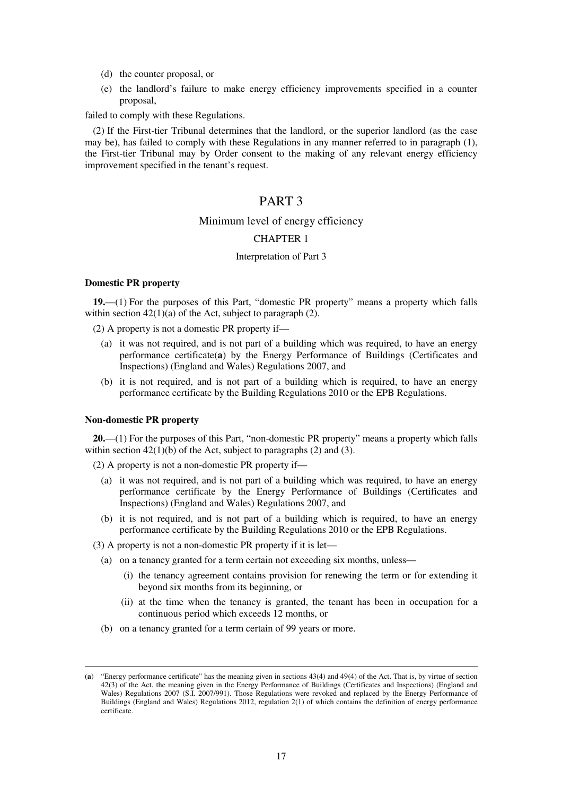- (d) the counter proposal, or
- (e) the landlord's failure to make energy efficiency improvements specified in a counter proposal,

failed to comply with these Regulations.

(2) If the First-tier Tribunal determines that the landlord, or the superior landlord (as the case may be), has failed to comply with these Regulations in any manner referred to in paragraph (1), the First-tier Tribunal may by Order consent to the making of any relevant energy efficiency improvement specified in the tenant's request.

# PART 3

## Minimum level of energy efficiency

## CHAPTER 1

## Interpretation of Part 3

#### **Domestic PR property**

**19.**—(1) For the purposes of this Part, "domestic PR property" means a property which falls within section  $42(1)(a)$  of the Act, subject to paragraph (2).

- (2) A property is not a domestic PR property if—
	- (a) it was not required, and is not part of a building which was required, to have an energy performance certificate(**a**) by the Energy Performance of Buildings (Certificates and Inspections) (England and Wales) Regulations 2007, and
	- (b) it is not required, and is not part of a building which is required, to have an energy performance certificate by the Building Regulations 2010 or the EPB Regulations.

#### **Non-domestic PR property**

<u>.</u>

**20.**—(1) For the purposes of this Part, "non-domestic PR property" means a property which falls within section  $42(1)(b)$  of the Act, subject to paragraphs (2) and (3).

(2) A property is not a non-domestic PR property if—

- (a) it was not required, and is not part of a building which was required, to have an energy performance certificate by the Energy Performance of Buildings (Certificates and Inspections) (England and Wales) Regulations 2007, and
- (b) it is not required, and is not part of a building which is required, to have an energy performance certificate by the Building Regulations 2010 or the EPB Regulations.
- (3) A property is not a non-domestic PR property if it is let—
	- (a) on a tenancy granted for a term certain not exceeding six months, unless—
		- (i) the tenancy agreement contains provision for renewing the term or for extending it beyond six months from its beginning, or
		- (ii) at the time when the tenancy is granted, the tenant has been in occupation for a continuous period which exceeds 12 months, or
	- (b) on a tenancy granted for a term certain of 99 years or more.

<sup>(</sup>**a**) "Energy performance certificate" has the meaning given in sections 43(4) and 49(4) of the Act. That is, by virtue of section 42(3) of the Act, the meaning given in the Energy Performance of Buildings (Certificates and Inspections) (England and Wales) Regulations 2007 (S.I. 2007/991). Those Regulations were revoked and replaced by the Energy Performance of Buildings (England and Wales) Regulations 2012, regulation 2(1) of which contains the definition of energy performance certificate.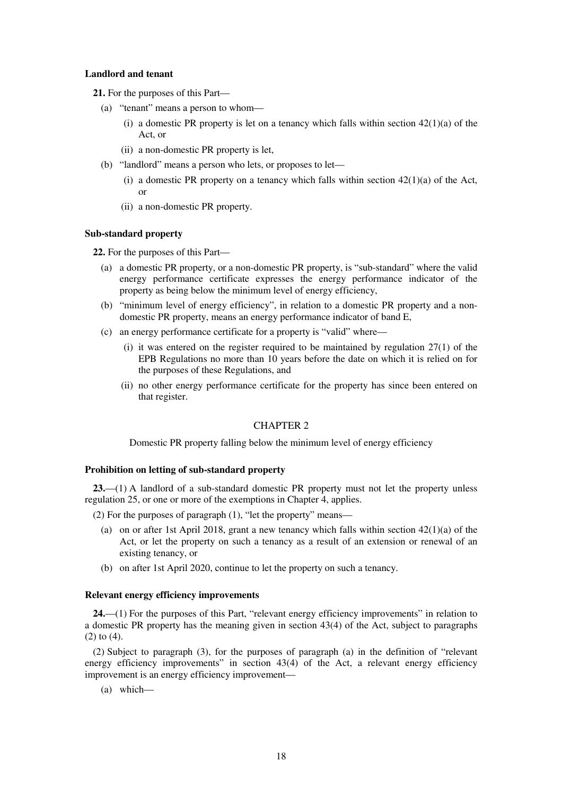## **Landlord and tenant**

**21.** For the purposes of this Part—

- (a) "tenant" means a person to whom—
	- (i) a domestic PR property is let on a tenancy which falls within section  $42(1)(a)$  of the Act, or
	- (ii) a non-domestic PR property is let,
- (b) "landlord" means a person who lets, or proposes to let—
	- (i) a domestic PR property on a tenancy which falls within section  $42(1)(a)$  of the Act, or
	- (ii) a non-domestic PR property.

#### **Sub-standard property**

**22.** For the purposes of this Part—

- (a) a domestic PR property, or a non-domestic PR property, is "sub-standard" where the valid energy performance certificate expresses the energy performance indicator of the property as being below the minimum level of energy efficiency,
- (b) "minimum level of energy efficiency", in relation to a domestic PR property and a nondomestic PR property, means an energy performance indicator of band E,
- (c) an energy performance certificate for a property is "valid" where—
	- (i) it was entered on the register required to be maintained by regulation 27(1) of the EPB Regulations no more than 10 years before the date on which it is relied on for the purposes of these Regulations, and
	- (ii) no other energy performance certificate for the property has since been entered on that register.

## CHAPTER 2

Domestic PR property falling below the minimum level of energy efficiency

### **Prohibition on letting of sub-standard property**

**23.**—(1) A landlord of a sub-standard domestic PR property must not let the property unless regulation 25, or one or more of the exemptions in Chapter 4, applies.

(2) For the purposes of paragraph (1), "let the property" means—

- (a) on or after 1st April 2018, grant a new tenancy which falls within section  $42(1)(a)$  of the Act, or let the property on such a tenancy as a result of an extension or renewal of an existing tenancy, or
- (b) on after 1st April 2020, continue to let the property on such a tenancy.

#### **Relevant energy efficiency improvements**

24.—(1) For the purposes of this Part, "relevant energy efficiency improvements" in relation to a domestic PR property has the meaning given in section 43(4) of the Act, subject to paragraphs (2) to (4).

(2) Subject to paragraph (3), for the purposes of paragraph (a) in the definition of "relevant energy efficiency improvements" in section 43(4) of the Act, a relevant energy efficiency improvement is an energy efficiency improvement—

(a) which—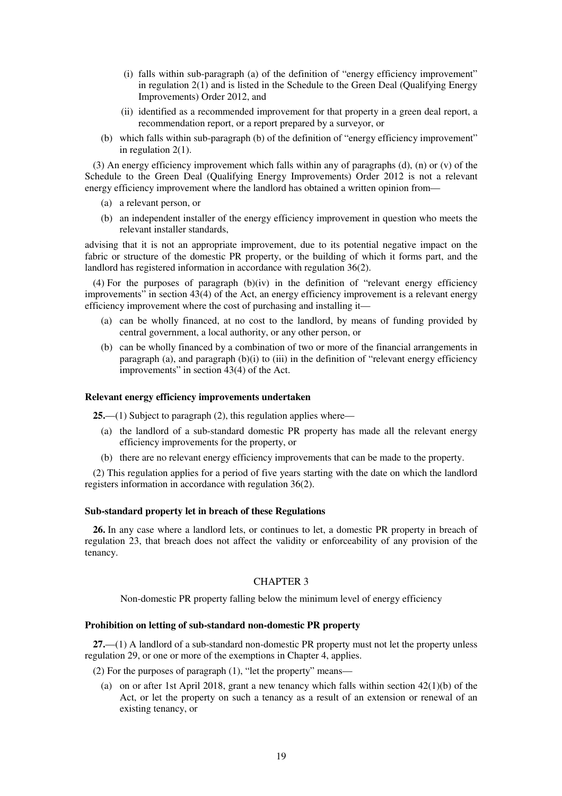- (i) falls within sub-paragraph (a) of the definition of "energy efficiency improvement" in regulation 2(1) and is listed in the Schedule to the Green Deal (Qualifying Energy Improvements) Order 2012, and
- (ii) identified as a recommended improvement for that property in a green deal report, a recommendation report, or a report prepared by a surveyor, or
- (b) which falls within sub-paragraph (b) of the definition of "energy efficiency improvement" in regulation 2(1).

(3) An energy efficiency improvement which falls within any of paragraphs (d), (n) or (v) of the Schedule to the Green Deal (Qualifying Energy Improvements) Order 2012 is not a relevant energy efficiency improvement where the landlord has obtained a written opinion from—

- (a) a relevant person, or
- (b) an independent installer of the energy efficiency improvement in question who meets the relevant installer standards,

advising that it is not an appropriate improvement, due to its potential negative impact on the fabric or structure of the domestic PR property, or the building of which it forms part, and the landlord has registered information in accordance with regulation 36(2).

 $(4)$  For the purposes of paragraph  $(b)(iv)$  in the definition of "relevant energy efficiency" improvements" in section 43(4) of the Act, an energy efficiency improvement is a relevant energy efficiency improvement where the cost of purchasing and installing it—

- (a) can be wholly financed, at no cost to the landlord, by means of funding provided by central government, a local authority, or any other person, or
- (b) can be wholly financed by a combination of two or more of the financial arrangements in paragraph (a), and paragraph  $(b)(i)$  to (iii) in the definition of "relevant energy efficiency improvements" in section 43(4) of the Act.

### **Relevant energy efficiency improvements undertaken**

**25.**—(1) Subject to paragraph (2), this regulation applies where—

- (a) the landlord of a sub-standard domestic PR property has made all the relevant energy efficiency improvements for the property, or
- (b) there are no relevant energy efficiency improvements that can be made to the property.

(2) This regulation applies for a period of five years starting with the date on which the landlord registers information in accordance with regulation 36(2).

#### **Sub-standard property let in breach of these Regulations**

**26.** In any case where a landlord lets, or continues to let, a domestic PR property in breach of regulation 23, that breach does not affect the validity or enforceability of any provision of the tenancy.

#### CHAPTER 3

Non-domestic PR property falling below the minimum level of energy efficiency

#### **Prohibition on letting of sub-standard non-domestic PR property**

**27.**—(1) A landlord of a sub-standard non-domestic PR property must not let the property unless regulation 29, or one or more of the exemptions in Chapter 4, applies.

(2) For the purposes of paragraph (1), "let the property" means—

(a) on or after 1st April 2018, grant a new tenancy which falls within section  $42(1)(b)$  of the Act, or let the property on such a tenancy as a result of an extension or renewal of an existing tenancy, or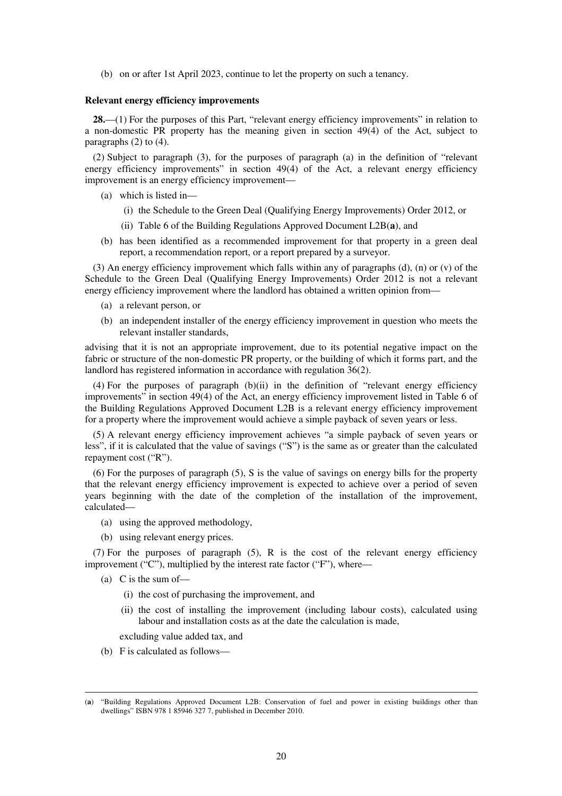(b) on or after 1st April 2023, continue to let the property on such a tenancy.

#### **Relevant energy efficiency improvements**

28.—(1) For the purposes of this Part, "relevant energy efficiency improvements" in relation to a non-domestic PR property has the meaning given in section 49(4) of the Act, subject to paragraphs (2) to (4).

(2) Subject to paragraph (3), for the purposes of paragraph (a) in the definition of "relevant energy efficiency improvements" in section 49(4) of the Act, a relevant energy efficiency improvement is an energy efficiency improvement—

- (a) which is listed in—
	- (i) the Schedule to the Green Deal (Qualifying Energy Improvements) Order 2012, or
	- (ii) Table 6 of the Building Regulations Approved Document L2B(**a**), and
- (b) has been identified as a recommended improvement for that property in a green deal report, a recommendation report, or a report prepared by a surveyor.

(3) An energy efficiency improvement which falls within any of paragraphs (d), (n) or (v) of the Schedule to the Green Deal (Qualifying Energy Improvements) Order 2012 is not a relevant energy efficiency improvement where the landlord has obtained a written opinion from—

- (a) a relevant person, or
- (b) an independent installer of the energy efficiency improvement in question who meets the relevant installer standards,

advising that it is not an appropriate improvement, due to its potential negative impact on the fabric or structure of the non-domestic PR property, or the building of which it forms part, and the landlord has registered information in accordance with regulation 36(2).

(4) For the purposes of paragraph (b)(ii) in the definition of "relevant energy efficiency improvements" in section 49(4) of the Act, an energy efficiency improvement listed in Table 6 of the Building Regulations Approved Document L2B is a relevant energy efficiency improvement for a property where the improvement would achieve a simple payback of seven years or less.

(5) A relevant energy efficiency improvement achieves "a simple payback of seven years or less", if it is calculated that the value of savings ("S") is the same as or greater than the calculated repayment cost ("R").

(6) For the purposes of paragraph (5), S is the value of savings on energy bills for the property that the relevant energy efficiency improvement is expected to achieve over a period of seven years beginning with the date of the completion of the installation of the improvement, calculated—

- (a) using the approved methodology,
- (b) using relevant energy prices.

(7) For the purposes of paragraph (5), R is the cost of the relevant energy efficiency improvement ("C"), multiplied by the interest rate factor ("F"), where—

(a) C is the sum of—

<u>.</u>

- (i) the cost of purchasing the improvement, and
- (ii) the cost of installing the improvement (including labour costs), calculated using labour and installation costs as at the date the calculation is made,

excluding value added tax, and

(b) F is calculated as follows—

<sup>(</sup>**a**) "Building Regulations Approved Document L2B: Conservation of fuel and power in existing buildings other than dwellings" ISBN 978 1 85946 327 7, published in December 2010.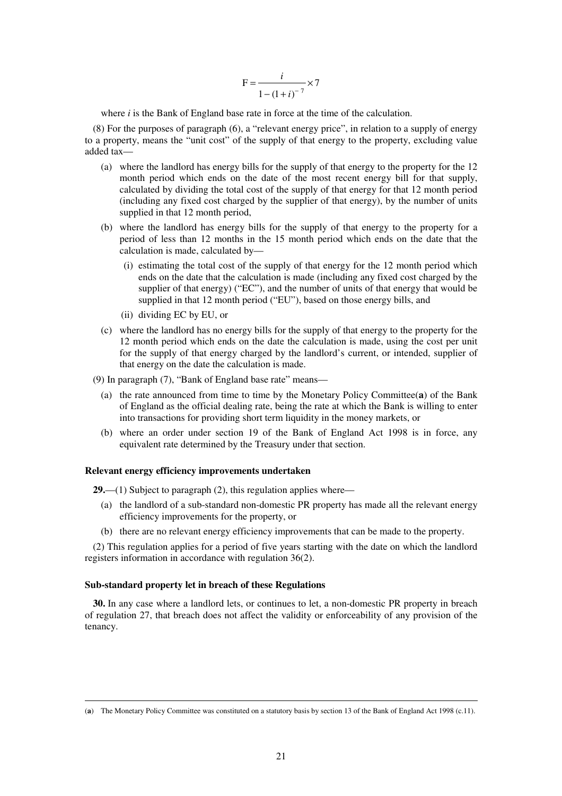$$
F = \frac{i}{1 - (1 + i)^{-7}} \times 7
$$

where *i* is the Bank of England base rate in force at the time of the calculation.

(8) For the purposes of paragraph (6), a "relevant energy price", in relation to a supply of energy to a property, means the "unit cost" of the supply of that energy to the property, excluding value added tax—

- (a) where the landlord has energy bills for the supply of that energy to the property for the 12 month period which ends on the date of the most recent energy bill for that supply, calculated by dividing the total cost of the supply of that energy for that 12 month period (including any fixed cost charged by the supplier of that energy), by the number of units supplied in that 12 month period,
- (b) where the landlord has energy bills for the supply of that energy to the property for a period of less than 12 months in the 15 month period which ends on the date that the calculation is made, calculated by—
	- (i) estimating the total cost of the supply of that energy for the 12 month period which ends on the date that the calculation is made (including any fixed cost charged by the supplier of that energy) ("EC"), and the number of units of that energy that would be supplied in that 12 month period ("EU"), based on those energy bills, and
	- (ii) dividing EC by EU, or
- (c) where the landlord has no energy bills for the supply of that energy to the property for the 12 month period which ends on the date the calculation is made, using the cost per unit for the supply of that energy charged by the landlord's current, or intended, supplier of that energy on the date the calculation is made.
- (9) In paragraph (7), "Bank of England base rate" means—
	- (a) the rate announced from time to time by the Monetary Policy Committee(**a**) of the Bank of England as the official dealing rate, being the rate at which the Bank is willing to enter into transactions for providing short term liquidity in the money markets, or
	- (b) where an order under section 19 of the Bank of England Act 1998 is in force, any equivalent rate determined by the Treasury under that section.

## **Relevant energy efficiency improvements undertaken**

**29.**—(1) Subject to paragraph (2), this regulation applies where—

- (a) the landlord of a sub-standard non-domestic PR property has made all the relevant energy efficiency improvements for the property, or
- (b) there are no relevant energy efficiency improvements that can be made to the property.

(2) This regulation applies for a period of five years starting with the date on which the landlord registers information in accordance with regulation 36(2).

#### **Sub-standard property let in breach of these Regulations**

<u>.</u>

**30.** In any case where a landlord lets, or continues to let, a non-domestic PR property in breach of regulation 27, that breach does not affect the validity or enforceability of any provision of the tenancy.

<sup>(</sup>**a**) The Monetary Policy Committee was constituted on a statutory basis by section 13 of the Bank of England Act 1998 (c.11).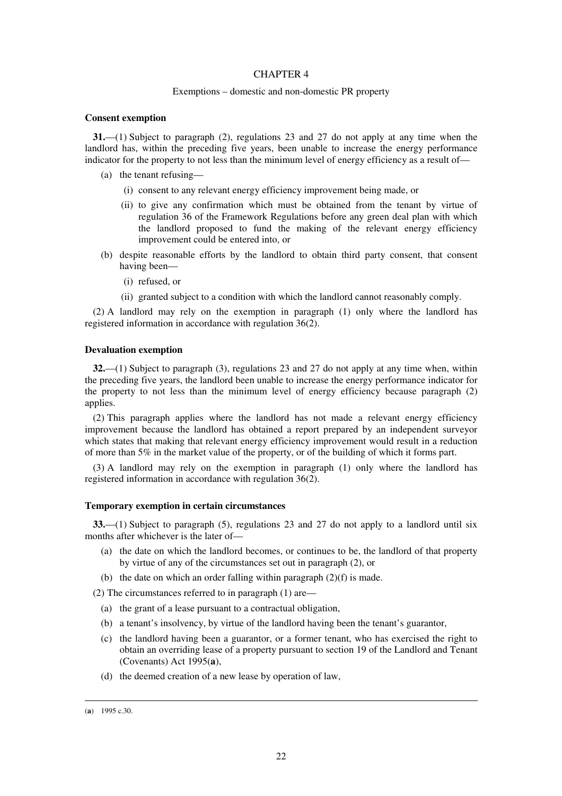### CHAPTER 4

#### Exemptions – domestic and non-domestic PR property

#### **Consent exemption**

**31.**—(1) Subject to paragraph (2), regulations 23 and 27 do not apply at any time when the landlord has, within the preceding five years, been unable to increase the energy performance indicator for the property to not less than the minimum level of energy efficiency as a result of—

- (a) the tenant refusing—
	- (i) consent to any relevant energy efficiency improvement being made, or
	- (ii) to give any confirmation which must be obtained from the tenant by virtue of regulation 36 of the Framework Regulations before any green deal plan with which the landlord proposed to fund the making of the relevant energy efficiency improvement could be entered into, or
- (b) despite reasonable efforts by the landlord to obtain third party consent, that consent having been—
	- (i) refused, or
	- (ii) granted subject to a condition with which the landlord cannot reasonably comply.

(2) A landlord may rely on the exemption in paragraph (1) only where the landlord has registered information in accordance with regulation 36(2).

#### **Devaluation exemption**

**32.**—(1) Subject to paragraph (3), regulations 23 and 27 do not apply at any time when, within the preceding five years, the landlord been unable to increase the energy performance indicator for the property to not less than the minimum level of energy efficiency because paragraph (2) applies.

(2) This paragraph applies where the landlord has not made a relevant energy efficiency improvement because the landlord has obtained a report prepared by an independent surveyor which states that making that relevant energy efficiency improvement would result in a reduction of more than 5% in the market value of the property, or of the building of which it forms part.

(3) A landlord may rely on the exemption in paragraph (1) only where the landlord has registered information in accordance with regulation 36(2).

#### **Temporary exemption in certain circumstances**

**33.**—(1) Subject to paragraph (5), regulations 23 and 27 do not apply to a landlord until six months after whichever is the later of—

- (a) the date on which the landlord becomes, or continues to be, the landlord of that property by virtue of any of the circumstances set out in paragraph (2), or
- (b) the date on which an order falling within paragraph (2)(f) is made.

(2) The circumstances referred to in paragraph (1) are—

- (a) the grant of a lease pursuant to a contractual obligation,
- (b) a tenant's insolvency, by virtue of the landlord having been the tenant's guarantor,
- (c) the landlord having been a guarantor, or a former tenant, who has exercised the right to obtain an overriding lease of a property pursuant to section 19 of the Landlord and Tenant (Covenants) Act 1995(**a**),
- (d) the deemed creation of a new lease by operation of law,

<sup>(</sup>**a**) 1995 c.30.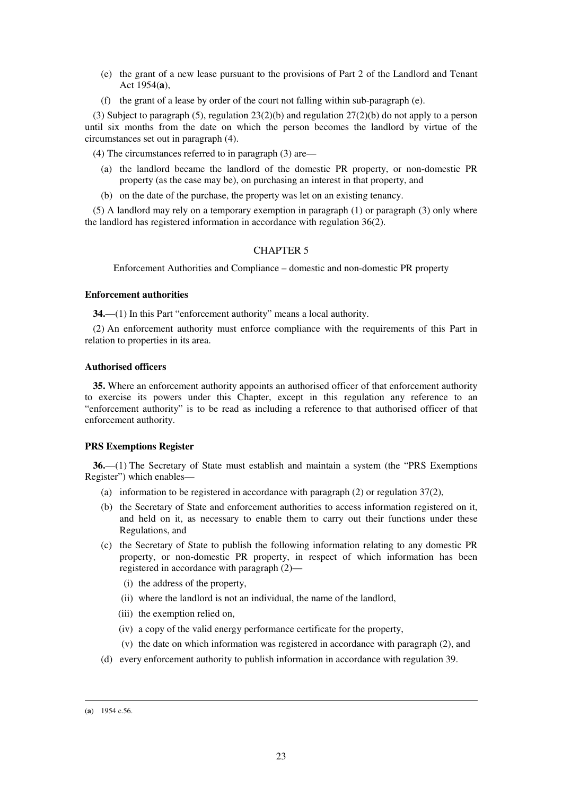- (e) the grant of a new lease pursuant to the provisions of Part 2 of the Landlord and Tenant Act 1954(**a**),
- (f) the grant of a lease by order of the court not falling within sub-paragraph (e).

(3) Subject to paragraph (5), regulation  $23(2)(b)$  and regulation  $27(2)(b)$  do not apply to a person until six months from the date on which the person becomes the landlord by virtue of the circumstances set out in paragraph (4).

(4) The circumstances referred to in paragraph (3) are—

- (a) the landlord became the landlord of the domestic PR property, or non-domestic PR property (as the case may be), on purchasing an interest in that property, and
- (b) on the date of the purchase, the property was let on an existing tenancy.

(5) A landlord may rely on a temporary exemption in paragraph (1) or paragraph (3) only where the landlord has registered information in accordance with regulation 36(2).

## CHAPTER 5

Enforcement Authorities and Compliance – domestic and non-domestic PR property

#### **Enforcement authorities**

**34.**—(1) In this Part "enforcement authority" means a local authority.

(2) An enforcement authority must enforce compliance with the requirements of this Part in relation to properties in its area.

## **Authorised officers**

**35.** Where an enforcement authority appoints an authorised officer of that enforcement authority to exercise its powers under this Chapter, except in this regulation any reference to an "enforcement authority" is to be read as including a reference to that authorised officer of that enforcement authority.

## **PRS Exemptions Register**

**36.**—(1) The Secretary of State must establish and maintain a system (the "PRS Exemptions Register") which enables—

- (a) information to be registered in accordance with paragraph (2) or regulation 37(2),
- (b) the Secretary of State and enforcement authorities to access information registered on it, and held on it, as necessary to enable them to carry out their functions under these Regulations, and
- (c) the Secretary of State to publish the following information relating to any domestic PR property, or non-domestic PR property, in respect of which information has been registered in accordance with paragraph (2)—
	- (i) the address of the property,
	- (ii) where the landlord is not an individual, the name of the landlord,
	- (iii) the exemption relied on,
	- (iv) a copy of the valid energy performance certificate for the property,
	- (v) the date on which information was registered in accordance with paragraph (2), and
- (d) every enforcement authority to publish information in accordance with regulation 39.

<sup>(</sup>**a**) 1954 c.56.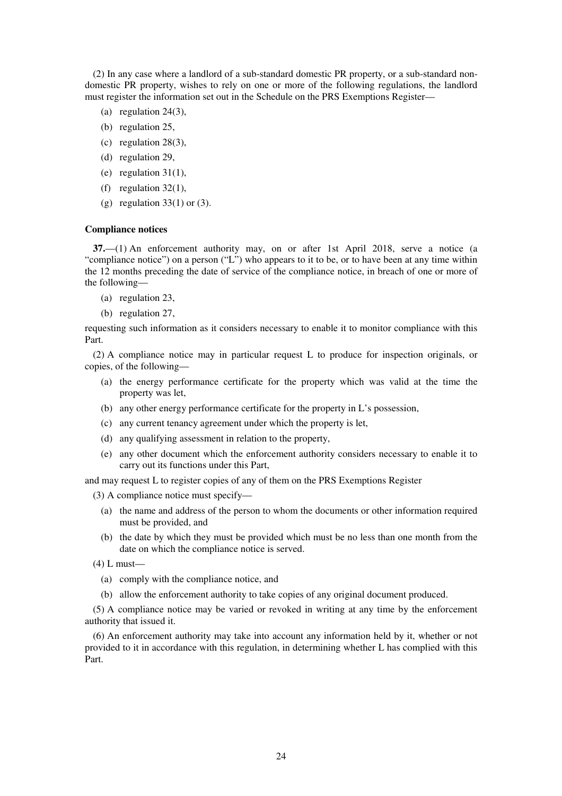(2) In any case where a landlord of a sub-standard domestic PR property, or a sub-standard nondomestic PR property, wishes to rely on one or more of the following regulations, the landlord must register the information set out in the Schedule on the PRS Exemptions Register—

- (a) regulation 24(3),
- (b) regulation 25,
- (c) regulation 28(3),
- (d) regulation 29,
- (e) regulation  $31(1)$ ,
- (f) regulation 32(1),
- (g) regulation  $33(1)$  or  $(3)$ .

#### **Compliance notices**

**37.**—(1) An enforcement authority may, on or after 1st April 2018, serve a notice (a "compliance notice") on a person ("L") who appears to it to be, or to have been at any time within the 12 months preceding the date of service of the compliance notice, in breach of one or more of the following—

- (a) regulation 23,
- (b) regulation 27,

requesting such information as it considers necessary to enable it to monitor compliance with this Part.

(2) A compliance notice may in particular request L to produce for inspection originals, or copies, of the following—

- (a) the energy performance certificate for the property which was valid at the time the property was let,
- (b) any other energy performance certificate for the property in L's possession,
- (c) any current tenancy agreement under which the property is let,
- (d) any qualifying assessment in relation to the property,
- (e) any other document which the enforcement authority considers necessary to enable it to carry out its functions under this Part,

and may request L to register copies of any of them on the PRS Exemptions Register

- (3) A compliance notice must specify—
	- (a) the name and address of the person to whom the documents or other information required must be provided, and
	- (b) the date by which they must be provided which must be no less than one month from the date on which the compliance notice is served.
- $(4)$  L must—
	- (a) comply with the compliance notice, and
	- (b) allow the enforcement authority to take copies of any original document produced.

(5) A compliance notice may be varied or revoked in writing at any time by the enforcement authority that issued it.

(6) An enforcement authority may take into account any information held by it, whether or not provided to it in accordance with this regulation, in determining whether L has complied with this Part.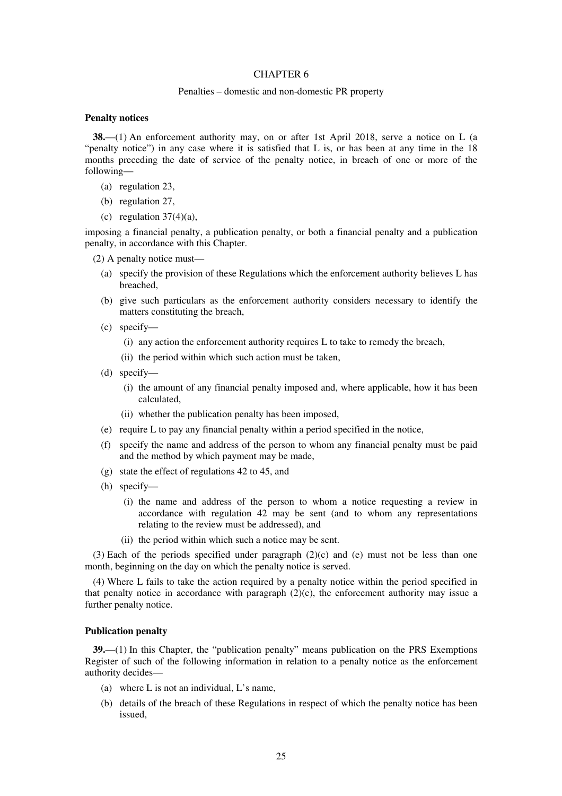## CHAPTER 6

#### Penalties – domestic and non-domestic PR property

#### **Penalty notices**

**38.**—(1) An enforcement authority may, on or after 1st April 2018, serve a notice on L (a "penalty notice") in any case where it is satisfied that L is, or has been at any time in the 18 months preceding the date of service of the penalty notice, in breach of one or more of the following—

- (a) regulation 23,
- (b) regulation 27,
- (c) regulation  $37(4)(a)$ ,

imposing a financial penalty, a publication penalty, or both a financial penalty and a publication penalty, in accordance with this Chapter.

- (2) A penalty notice must—
	- (a) specify the provision of these Regulations which the enforcement authority believes L has breached,
	- (b) give such particulars as the enforcement authority considers necessary to identify the matters constituting the breach,
	- (c) specify—
		- (i) any action the enforcement authority requires L to take to remedy the breach,
		- (ii) the period within which such action must be taken,
	- (d) specify—
		- (i) the amount of any financial penalty imposed and, where applicable, how it has been calculated,
		- (ii) whether the publication penalty has been imposed,
	- (e) require L to pay any financial penalty within a period specified in the notice,
	- (f) specify the name and address of the person to whom any financial penalty must be paid and the method by which payment may be made,
	- (g) state the effect of regulations 42 to 45, and
	- (h) specify—
		- (i) the name and address of the person to whom a notice requesting a review in accordance with regulation 42 may be sent (and to whom any representations relating to the review must be addressed), and
		- (ii) the period within which such a notice may be sent.

(3) Each of the periods specified under paragraph  $(2)(c)$  and (e) must not be less than one month, beginning on the day on which the penalty notice is served.

(4) Where L fails to take the action required by a penalty notice within the period specified in that penalty notice in accordance with paragraph  $(2)(c)$ , the enforcement authority may issue a further penalty notice.

#### **Publication penalty**

**39.**—(1) In this Chapter, the "publication penalty" means publication on the PRS Exemptions Register of such of the following information in relation to a penalty notice as the enforcement authority decides—

- (a) where L is not an individual, L's name,
- (b) details of the breach of these Regulations in respect of which the penalty notice has been issued,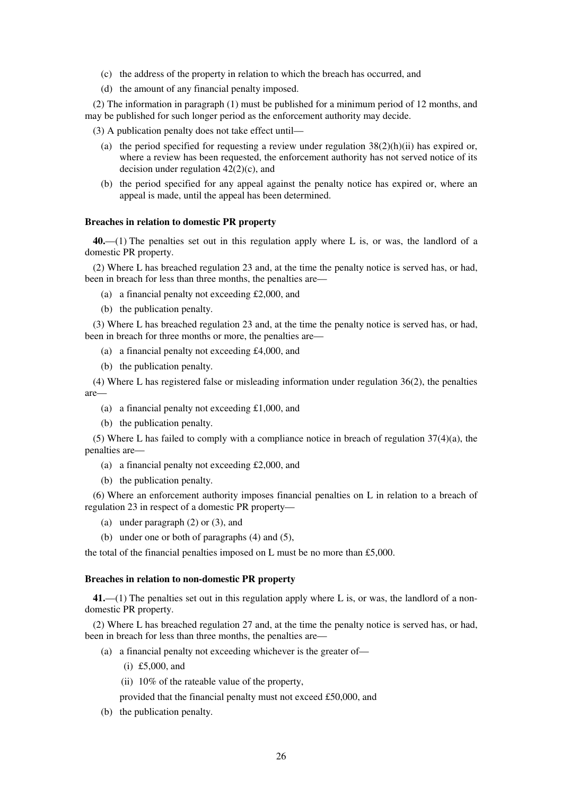- (c) the address of the property in relation to which the breach has occurred, and
- (d) the amount of any financial penalty imposed.

(2) The information in paragraph (1) must be published for a minimum period of 12 months, and may be published for such longer period as the enforcement authority may decide.

- (3) A publication penalty does not take effect until—
	- (a) the period specified for requesting a review under regulation  $38(2)(h)(ii)$  has expired or, where a review has been requested, the enforcement authority has not served notice of its decision under regulation  $42(2)(c)$ , and
	- (b) the period specified for any appeal against the penalty notice has expired or, where an appeal is made, until the appeal has been determined.

#### **Breaches in relation to domestic PR property**

**40.**—(1) The penalties set out in this regulation apply where L is, or was, the landlord of a domestic PR property.

(2) Where L has breached regulation 23 and, at the time the penalty notice is served has, or had, been in breach for less than three months, the penalties are—

- (a) a financial penalty not exceeding £2,000, and
- (b) the publication penalty.

(3) Where L has breached regulation 23 and, at the time the penalty notice is served has, or had, been in breach for three months or more, the penalties are—

- (a) a financial penalty not exceeding £4,000, and
- (b) the publication penalty.

(4) Where L has registered false or misleading information under regulation 36(2), the penalties are—

- (a) a financial penalty not exceeding £1,000, and
- (b) the publication penalty.

(5) Where L has failed to comply with a compliance notice in breach of regulation  $37(4)(a)$ , the penalties are—

- (a) a financial penalty not exceeding £2,000, and
- (b) the publication penalty.

(6) Where an enforcement authority imposes financial penalties on L in relation to a breach of regulation 23 in respect of a domestic PR property—

- (a) under paragraph (2) or (3), and
- (b) under one or both of paragraphs (4) and (5),

the total of the financial penalties imposed on L must be no more than £5,000.

#### **Breaches in relation to non-domestic PR property**

**41.**—(1) The penalties set out in this regulation apply where L is, or was, the landlord of a nondomestic PR property.

(2) Where L has breached regulation 27 and, at the time the penalty notice is served has, or had, been in breach for less than three months, the penalties are—

- (a) a financial penalty not exceeding whichever is the greater of—
	- (i) £5,000, and
	- (ii) 10% of the rateable value of the property,
	- provided that the financial penalty must not exceed £50,000, and
- (b) the publication penalty.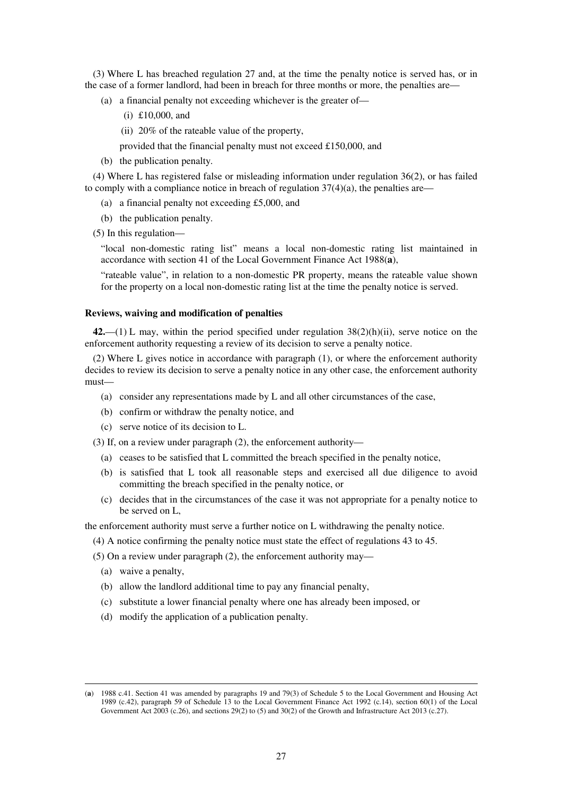(3) Where L has breached regulation 27 and, at the time the penalty notice is served has, or in the case of a former landlord, had been in breach for three months or more, the penalties are—

- (a) a financial penalty not exceeding whichever is the greater of—
	- (i) £10,000, and
	- (ii) 20% of the rateable value of the property,
	- provided that the financial penalty must not exceed £150,000, and
- (b) the publication penalty.

(4) Where L has registered false or misleading information under regulation 36(2), or has failed to comply with a compliance notice in breach of regulation  $37(4)(a)$ , the penalties are—

- (a) a financial penalty not exceeding £5,000, and
- (b) the publication penalty.
- (5) In this regulation—

"local non-domestic rating list" means a local non-domestic rating list maintained in accordance with section 41 of the Local Government Finance Act 1988(**a**),

"rateable value", in relation to a non-domestic PR property, means the rateable value shown for the property on a local non-domestic rating list at the time the penalty notice is served.

#### **Reviews, waiving and modification of penalties**

**42.**—(1) L may, within the period specified under regulation 38(2)(h)(ii), serve notice on the enforcement authority requesting a review of its decision to serve a penalty notice.

(2) Where L gives notice in accordance with paragraph (1), or where the enforcement authority decides to review its decision to serve a penalty notice in any other case, the enforcement authority must—

- (a) consider any representations made by L and all other circumstances of the case,
- (b) confirm or withdraw the penalty notice, and
- (c) serve notice of its decision to L.
- (3) If, on a review under paragraph (2), the enforcement authority—
	- (a) ceases to be satisfied that L committed the breach specified in the penalty notice,
	- (b) is satisfied that L took all reasonable steps and exercised all due diligence to avoid committing the breach specified in the penalty notice, or
	- (c) decides that in the circumstances of the case it was not appropriate for a penalty notice to be served on L,

the enforcement authority must serve a further notice on L withdrawing the penalty notice.

- (4) A notice confirming the penalty notice must state the effect of regulations 43 to 45.
- (5) On a review under paragraph (2), the enforcement authority may—
	- (a) waive a penalty,

- (b) allow the landlord additional time to pay any financial penalty,
- (c) substitute a lower financial penalty where one has already been imposed, or
- (d) modify the application of a publication penalty.

<sup>(</sup>**a**) 1988 c.41. Section 41 was amended by paragraphs 19 and 79(3) of Schedule 5 to the Local Government and Housing Act 1989 (c.42), paragraph 59 of Schedule 13 to the Local Government Finance Act 1992 (c.14), section 60(1) of the Local Government Act 2003 (c.26), and sections 29(2) to (5) and 30(2) of the Growth and Infrastructure Act 2013 (c.27).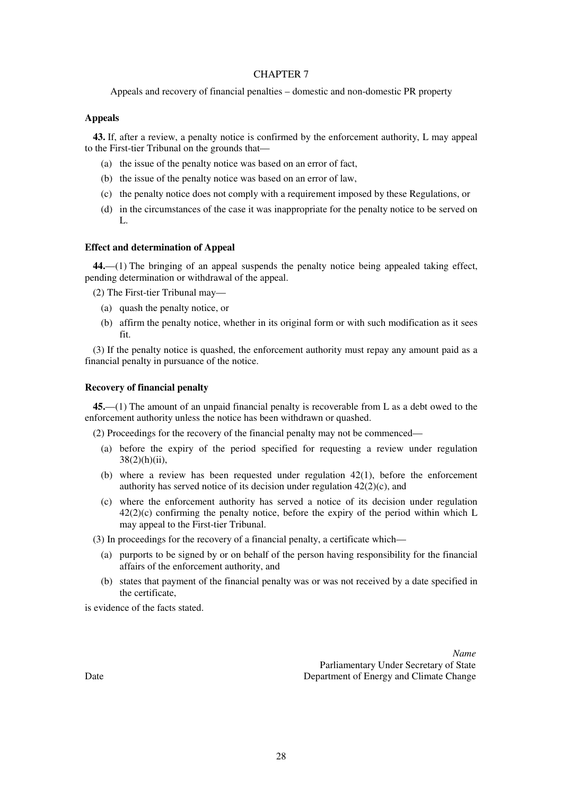## CHAPTER 7

Appeals and recovery of financial penalties – domestic and non-domestic PR property

## **Appeals**

**43.** If, after a review, a penalty notice is confirmed by the enforcement authority, L may appeal to the First-tier Tribunal on the grounds that—

- (a) the issue of the penalty notice was based on an error of fact,
- (b) the issue of the penalty notice was based on an error of law,
- (c) the penalty notice does not comply with a requirement imposed by these Regulations, or
- (d) in the circumstances of the case it was inappropriate for the penalty notice to be served on L.

## **Effect and determination of Appeal**

**44.**—(1) The bringing of an appeal suspends the penalty notice being appealed taking effect, pending determination or withdrawal of the appeal.

(2) The First-tier Tribunal may—

- (a) quash the penalty notice, or
- (b) affirm the penalty notice, whether in its original form or with such modification as it sees fit.

(3) If the penalty notice is quashed, the enforcement authority must repay any amount paid as a financial penalty in pursuance of the notice.

## **Recovery of financial penalty**

**45.**—(1) The amount of an unpaid financial penalty is recoverable from L as a debt owed to the enforcement authority unless the notice has been withdrawn or quashed.

(2) Proceedings for the recovery of the financial penalty may not be commenced—

- (a) before the expiry of the period specified for requesting a review under regulation  $38(2)(h)(ii)$ ,
- (b) where a review has been requested under regulation 42(1), before the enforcement authority has served notice of its decision under regulation 42(2)(c), and
- (c) where the enforcement authority has served a notice of its decision under regulation  $42(2)(c)$  confirming the penalty notice, before the expiry of the period within which L may appeal to the First-tier Tribunal.

(3) In proceedings for the recovery of a financial penalty, a certificate which—

- (a) purports to be signed by or on behalf of the person having responsibility for the financial affairs of the enforcement authority, and
- (b) states that payment of the financial penalty was or was not received by a date specified in the certificate,

is evidence of the facts stated.

*Name* Parliamentary Under Secretary of State Date Department of Energy and Climate Change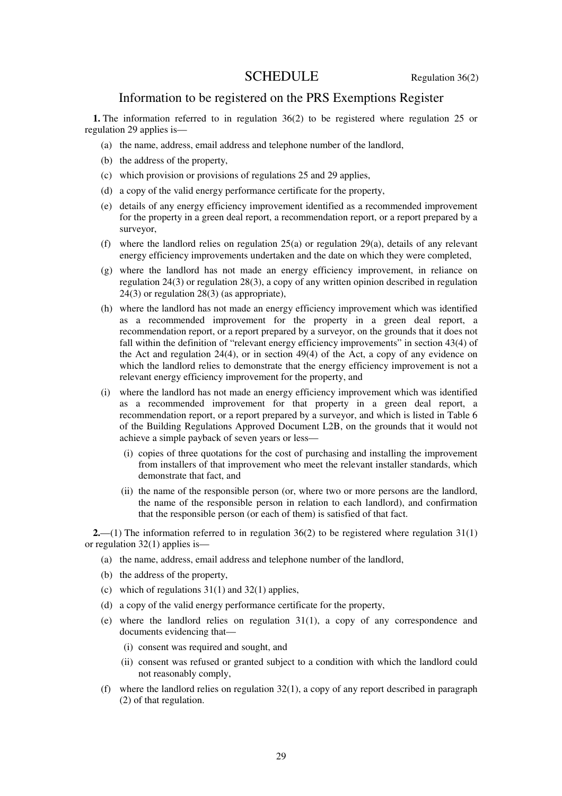# SCHEDULE Regulation 36(2)

# Information to be registered on the PRS Exemptions Register

**1.** The information referred to in regulation 36(2) to be registered where regulation 25 or regulation 29 applies is—

- (a) the name, address, email address and telephone number of the landlord,
- (b) the address of the property,
- (c) which provision or provisions of regulations 25 and 29 applies,
- (d) a copy of the valid energy performance certificate for the property,
- (e) details of any energy efficiency improvement identified as a recommended improvement for the property in a green deal report, a recommendation report, or a report prepared by a surveyor,
- (f) where the landlord relies on regulation  $25(a)$  or regulation  $29(a)$ , details of any relevant energy efficiency improvements undertaken and the date on which they were completed,
- (g) where the landlord has not made an energy efficiency improvement, in reliance on regulation 24(3) or regulation 28(3), a copy of any written opinion described in regulation 24(3) or regulation 28(3) (as appropriate),
- (h) where the landlord has not made an energy efficiency improvement which was identified as a recommended improvement for the property in a green deal report, a recommendation report, or a report prepared by a surveyor, on the grounds that it does not fall within the definition of "relevant energy efficiency improvements" in section 43(4) of the Act and regulation 24(4), or in section 49(4) of the Act, a copy of any evidence on which the landlord relies to demonstrate that the energy efficiency improvement is not a relevant energy efficiency improvement for the property, and
- (i) where the landlord has not made an energy efficiency improvement which was identified as a recommended improvement for that property in a green deal report, a recommendation report, or a report prepared by a surveyor, and which is listed in Table 6 of the Building Regulations Approved Document L2B, on the grounds that it would not achieve a simple payback of seven years or less—
	- (i) copies of three quotations for the cost of purchasing and installing the improvement from installers of that improvement who meet the relevant installer standards, which demonstrate that fact, and
	- (ii) the name of the responsible person (or, where two or more persons are the landlord, the name of the responsible person in relation to each landlord), and confirmation that the responsible person (or each of them) is satisfied of that fact.

**2.**—(1) The information referred to in regulation 36(2) to be registered where regulation 31(1) or regulation 32(1) applies is—

- (a) the name, address, email address and telephone number of the landlord,
- (b) the address of the property,
- (c) which of regulations  $31(1)$  and  $32(1)$  applies,
- (d) a copy of the valid energy performance certificate for the property,
- (e) where the landlord relies on regulation 31(1), a copy of any correspondence and documents evidencing that—
	- (i) consent was required and sought, and
	- (ii) consent was refused or granted subject to a condition with which the landlord could not reasonably comply,
- (f) where the landlord relies on regulation  $32(1)$ , a copy of any report described in paragraph (2) of that regulation.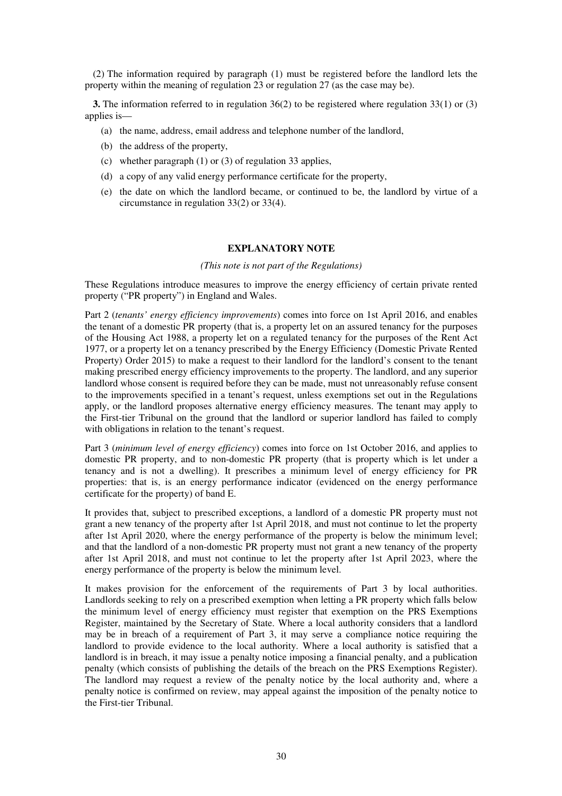(2) The information required by paragraph (1) must be registered before the landlord lets the property within the meaning of regulation 23 or regulation 27 (as the case may be).

**3.** The information referred to in regulation 36(2) to be registered where regulation 33(1) or (3) applies is—

- (a) the name, address, email address and telephone number of the landlord,
- (b) the address of the property,
- (c) whether paragraph (1) or (3) of regulation 33 applies,
- (d) a copy of any valid energy performance certificate for the property,
- (e) the date on which the landlord became, or continued to be, the landlord by virtue of a circumstance in regulation 33(2) or 33(4).

## **EXPLANATORY NOTE**

#### *(This note is not part of the Regulations)*

These Regulations introduce measures to improve the energy efficiency of certain private rented property ("PR property") in England and Wales.

Part 2 (*tenants' energy efficiency improvements*) comes into force on 1st April 2016, and enables the tenant of a domestic PR property (that is, a property let on an assured tenancy for the purposes of the Housing Act 1988, a property let on a regulated tenancy for the purposes of the Rent Act 1977, or a property let on a tenancy prescribed by the Energy Efficiency (Domestic Private Rented Property) Order 2015) to make a request to their landlord for the landlord's consent to the tenant making prescribed energy efficiency improvements to the property. The landlord, and any superior landlord whose consent is required before they can be made, must not unreasonably refuse consent to the improvements specified in a tenant's request, unless exemptions set out in the Regulations apply, or the landlord proposes alternative energy efficiency measures. The tenant may apply to the First-tier Tribunal on the ground that the landlord or superior landlord has failed to comply with obligations in relation to the tenant's request.

Part 3 (*minimum level of energy efficiency*) comes into force on 1st October 2016, and applies to domestic PR property, and to non-domestic PR property (that is property which is let under a tenancy and is not a dwelling). It prescribes a minimum level of energy efficiency for PR properties: that is, is an energy performance indicator (evidenced on the energy performance certificate for the property) of band E.

It provides that, subject to prescribed exceptions, a landlord of a domestic PR property must not grant a new tenancy of the property after 1st April 2018, and must not continue to let the property after 1st April 2020, where the energy performance of the property is below the minimum level; and that the landlord of a non-domestic PR property must not grant a new tenancy of the property after 1st April 2018, and must not continue to let the property after 1st April 2023, where the energy performance of the property is below the minimum level.

It makes provision for the enforcement of the requirements of Part 3 by local authorities. Landlords seeking to rely on a prescribed exemption when letting a PR property which falls below the minimum level of energy efficiency must register that exemption on the PRS Exemptions Register, maintained by the Secretary of State. Where a local authority considers that a landlord may be in breach of a requirement of Part 3, it may serve a compliance notice requiring the landlord to provide evidence to the local authority. Where a local authority is satisfied that a landlord is in breach, it may issue a penalty notice imposing a financial penalty, and a publication penalty (which consists of publishing the details of the breach on the PRS Exemptions Register). The landlord may request a review of the penalty notice by the local authority and, where a penalty notice is confirmed on review, may appeal against the imposition of the penalty notice to the First-tier Tribunal.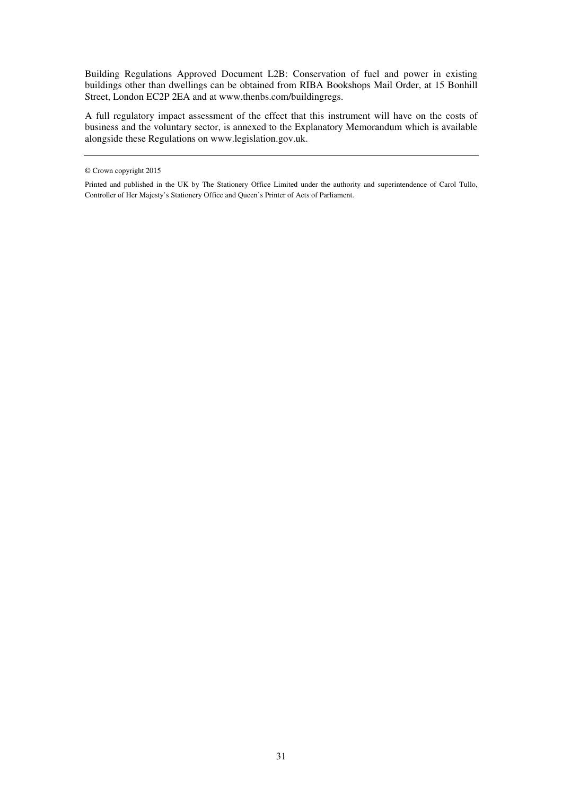Building Regulations Approved Document L2B: Conservation of fuel and power in existing buildings other than dwellings can be obtained from RIBA Bookshops Mail Order, at 15 Bonhill Street, London EC2P 2EA and at www.thenbs.com/buildingregs.

A full regulatory impact assessment of the effect that this instrument will have on the costs of business and the voluntary sector, is annexed to the Explanatory Memorandum which is available alongside these Regulations on www.legislation.gov.uk.

<sup>©</sup> Crown copyright 2015

Printed and published in the UK by The Stationery Office Limited under the authority and superintendence of Carol Tullo, Controller of Her Majesty's Stationery Office and Queen's Printer of Acts of Parliament.